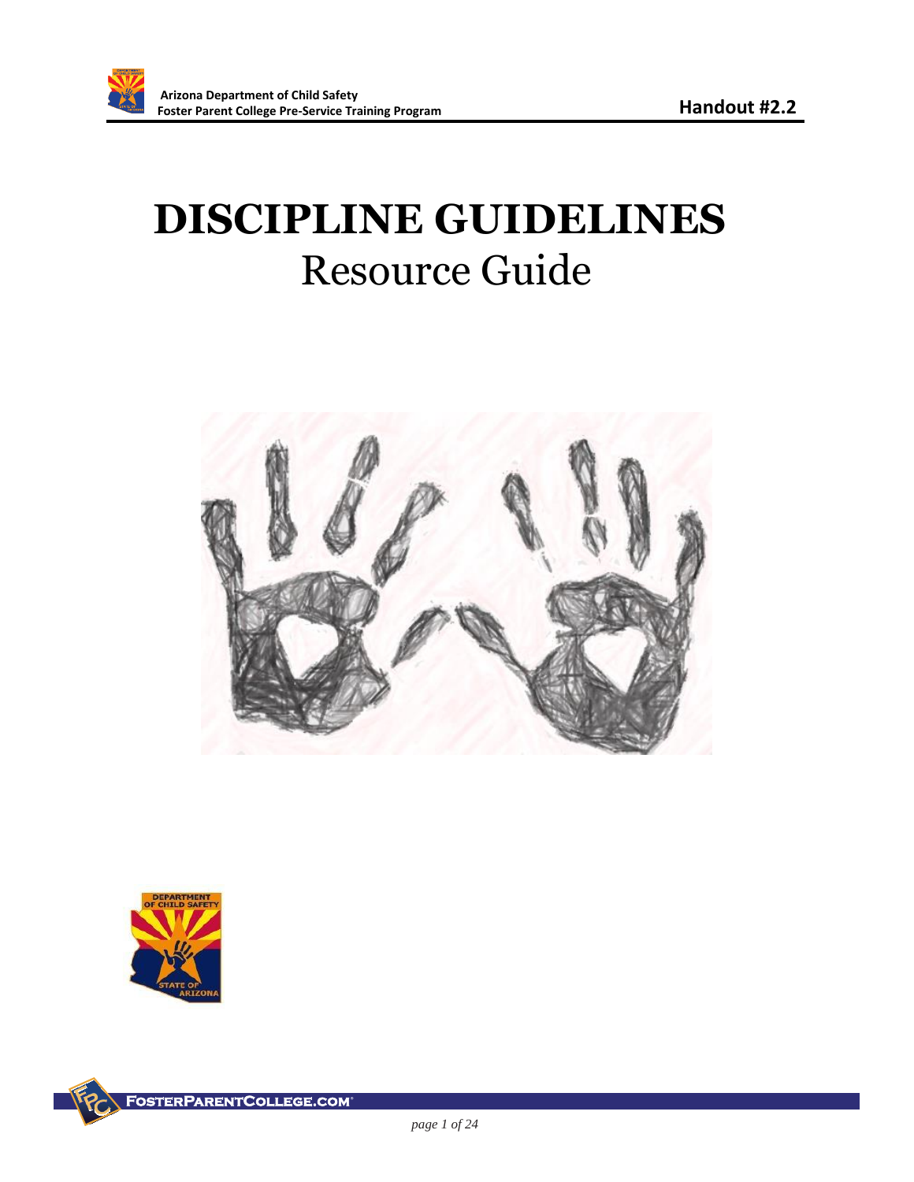

# **DISCIPLINE GUIDELINES** Resource Guide



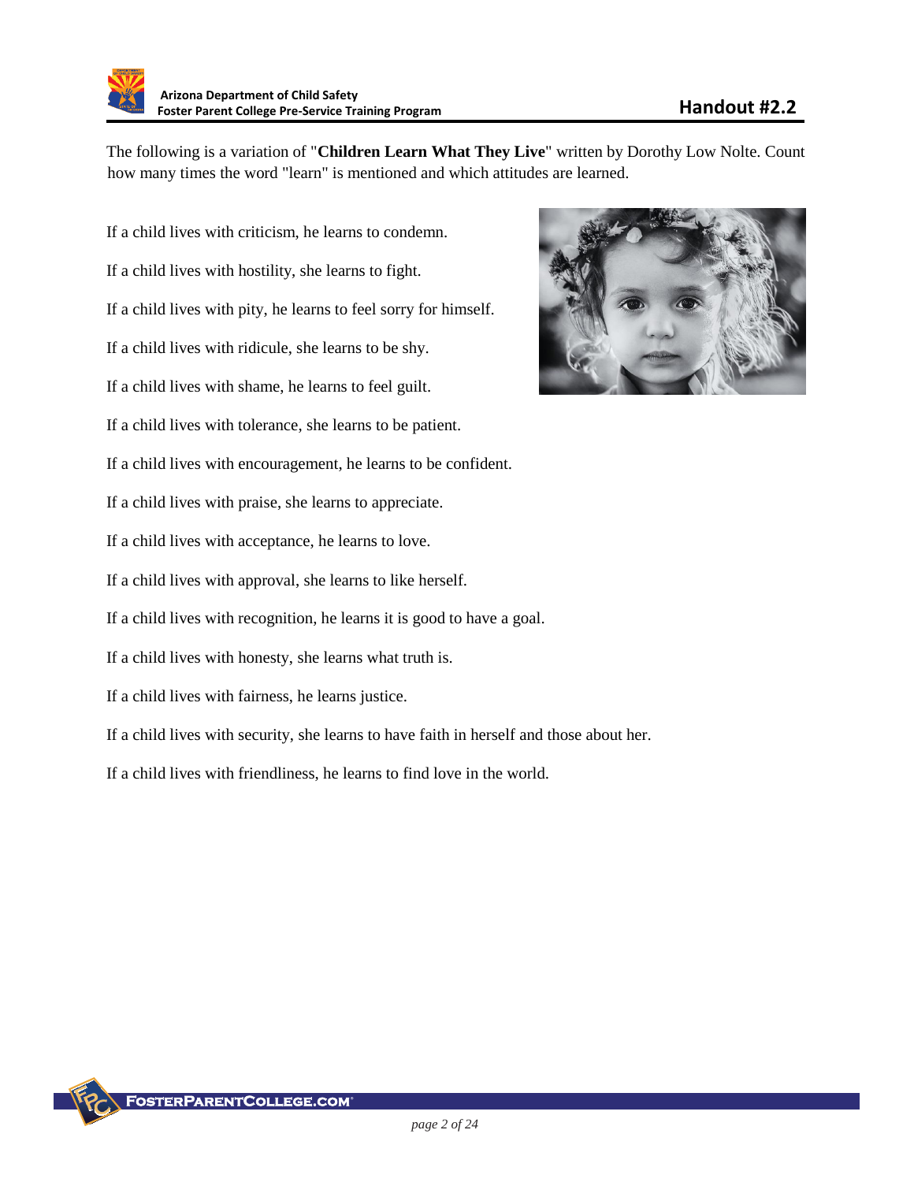The following is a variation of "**Children Learn What They Live**" written by Dorothy Low Nolte. Count how many times the word "learn" is mentioned and which attitudes are learned.

If a child lives with criticism, he learns to condemn. If a child lives with hostility, she learns to fight. If a child lives with pity, he learns to feel sorry for himself. If a child lives with ridicule, she learns to be shy. If a child lives with shame, he learns to feel guilt. If a child lives with tolerance, she learns to be patient. If a child lives with encouragement, he learns to be confident. If a child lives with praise, she learns to appreciate. If a child lives with acceptance, he learns to love. If a child lives with approval, she learns to like herself. If a child lives with recognition, he learns it is good to have a goal. If a child lives with honesty, she learns what truth is.

If a child lives with fairness, he learns justice.

If a child lives with security, she learns to have faith in herself and those about her.

If a child lives with friendliness, he learns to find love in the world.

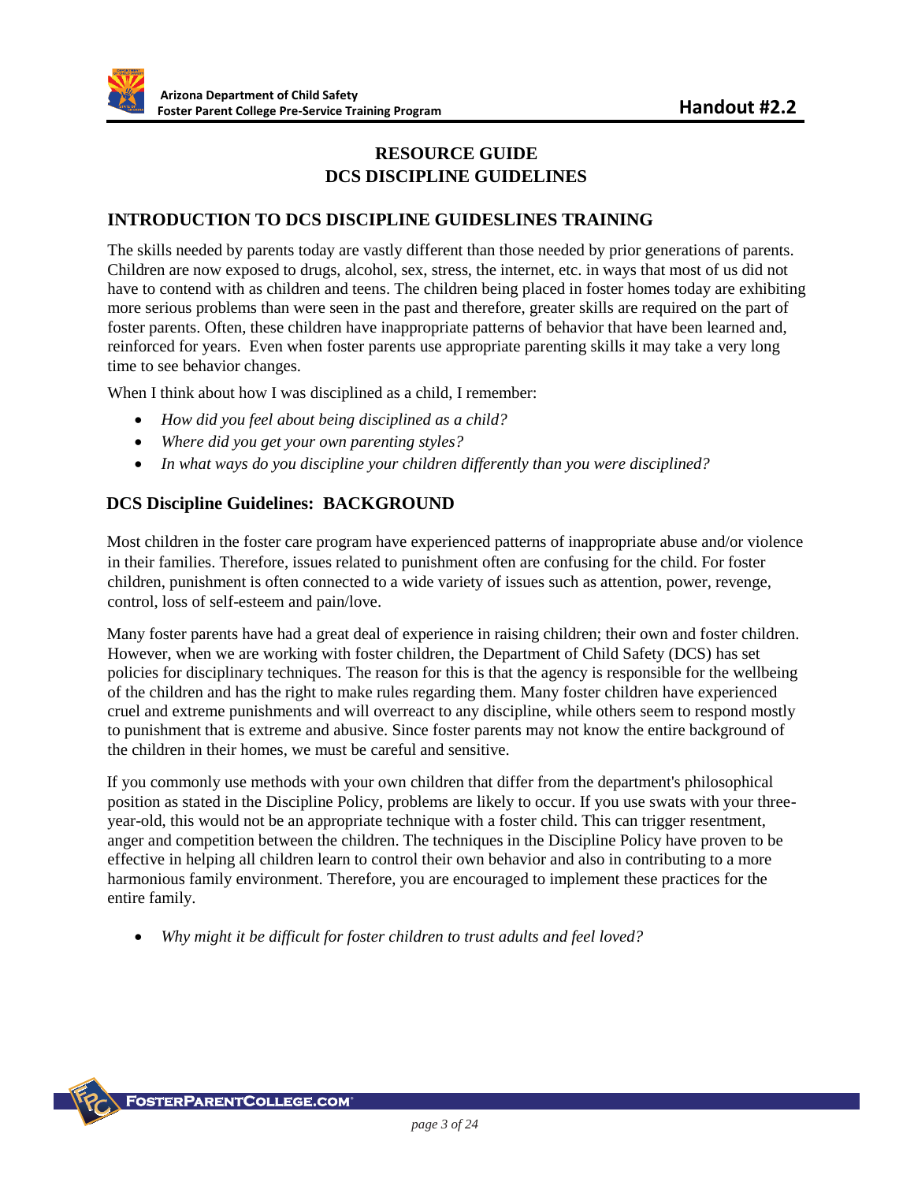# **RESOURCE GUIDE DCS DISCIPLINE GUIDELINES**

#### **INTRODUCTION TO DCS DISCIPLINE GUIDESLINES TRAINING**

The skills needed by parents today are vastly different than those needed by prior generations of parents. Children are now exposed to drugs, alcohol, sex, stress, the internet, etc. in ways that most of us did not have to contend with as children and teens. The children being placed in foster homes today are exhibiting more serious problems than were seen in the past and therefore, greater skills are required on the part of foster parents. Often, these children have inappropriate patterns of behavior that have been learned and, reinforced for years. Even when foster parents use appropriate parenting skills it may take a very long time to see behavior changes.

When I think about how I was disciplined as a child, I remember:

- *How did you feel about being disciplined as a child?*
- *Where did you get your own parenting styles?*
- *In what ways do you discipline your children differently than you were disciplined?*

#### **DCS Discipline Guidelines: BACKGROUND**

Most children in the foster care program have experienced patterns of inappropriate abuse and/or violence in their families. Therefore, issues related to punishment often are confusing for the child. For foster children, punishment is often connected to a wide variety of issues such as attention, power, revenge, control, loss of self-esteem and pain/love.

Many foster parents have had a great deal of experience in raising children; their own and foster children. However, when we are working with foster children, the Department of Child Safety (DCS) has set policies for disciplinary techniques. The reason for this is that the agency is responsible for the wellbeing of the children and has the right to make rules regarding them. Many foster children have experienced cruel and extreme punishments and will overreact to any discipline, while others seem to respond mostly to punishment that is extreme and abusive. Since foster parents may not know the entire background of the children in their homes, we must be careful and sensitive.

If you commonly use methods with your own children that differ from the department's philosophical position as stated in the Discipline Policy, problems are likely to occur. If you use swats with your threeyear-old, this would not be an appropriate technique with a foster child. This can trigger resentment, anger and competition between the children. The techniques in the Discipline Policy have proven to be effective in helping all children learn to control their own behavior and also in contributing to a more harmonious family environment. Therefore, you are encouraged to implement these practices for the entire family.

*Why might it be difficult for foster children to trust adults and feel loved?*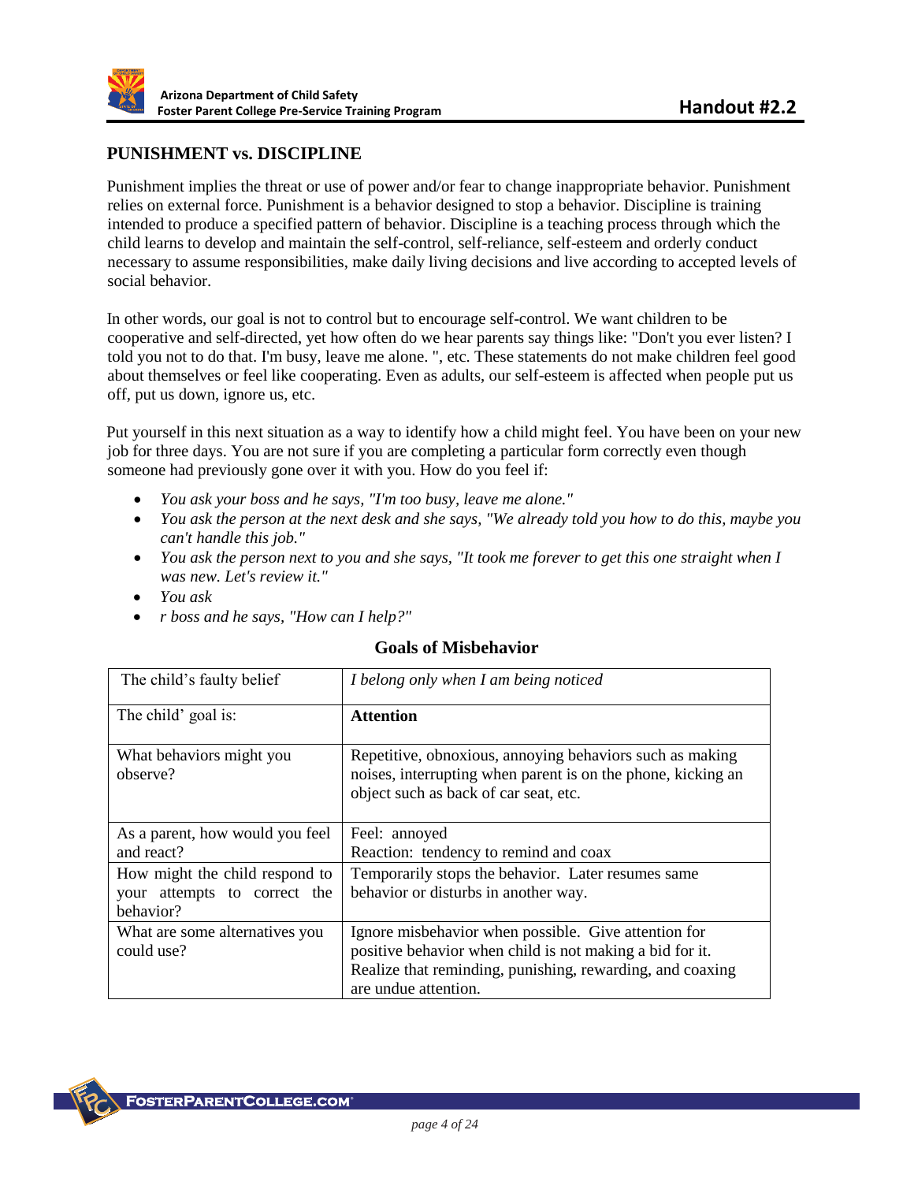

#### **PUNISHMENT vs. DISCIPLINE**

Punishment implies the threat or use of power and/or fear to change inappropriate behavior. Punishment relies on external force. Punishment is a behavior designed to stop a behavior. Discipline is training intended to produce a specified pattern of behavior. Discipline is a teaching process through which the child learns to develop and maintain the self-control, self-reliance, self-esteem and orderly conduct necessary to assume responsibilities, make daily living decisions and live according to accepted levels of social behavior.

In other words, our goal is not to control but to encourage self-control. We want children to be cooperative and self-directed, yet how often do we hear parents say things like: "Don't you ever listen? I told you not to do that. I'm busy, leave me alone. ", etc. These statements do not make children feel good about themselves or feel like cooperating. Even as adults, our self-esteem is affected when people put us off, put us down, ignore us, etc.

Put yourself in this next situation as a way to identify how a child might feel. You have been on your new job for three days. You are not sure if you are completing a particular form correctly even though someone had previously gone over it with you. How do you feel if:

- *You ask your boss and he says, "I'm too busy, leave me alone."*
- *You ask the person at the next desk and she says, "We already told you how to do this, maybe you can't handle this job."*
- *You ask the person next to you and she says, "It took me forever to get this one straight when I was new. Let's review it."*
- *You ask*
- *r boss and he says, "How can I help?"*

#### **Goals of Misbehavior**

| The child's faulty belief                                                   | I belong only when I am being noticed                                                                                                                                                                 |
|-----------------------------------------------------------------------------|-------------------------------------------------------------------------------------------------------------------------------------------------------------------------------------------------------|
| The child' goal is:                                                         | <b>Attention</b>                                                                                                                                                                                      |
| What behaviors might you<br>observe?                                        | Repetitive, obnoxious, annoying behaviors such as making<br>noises, interrupting when parent is on the phone, kicking an<br>object such as back of car seat, etc.                                     |
| As a parent, how would you feel<br>and react?                               | Feel: annoyed<br>Reaction: tendency to remind and coax                                                                                                                                                |
| How might the child respond to<br>your attempts to correct the<br>behavior? | Temporarily stops the behavior. Later resumes same<br>behavior or disturbs in another way.                                                                                                            |
| What are some alternatives you<br>could use?                                | Ignore misbehavior when possible. Give attention for<br>positive behavior when child is not making a bid for it.<br>Realize that reminding, punishing, rewarding, and coaxing<br>are undue attention. |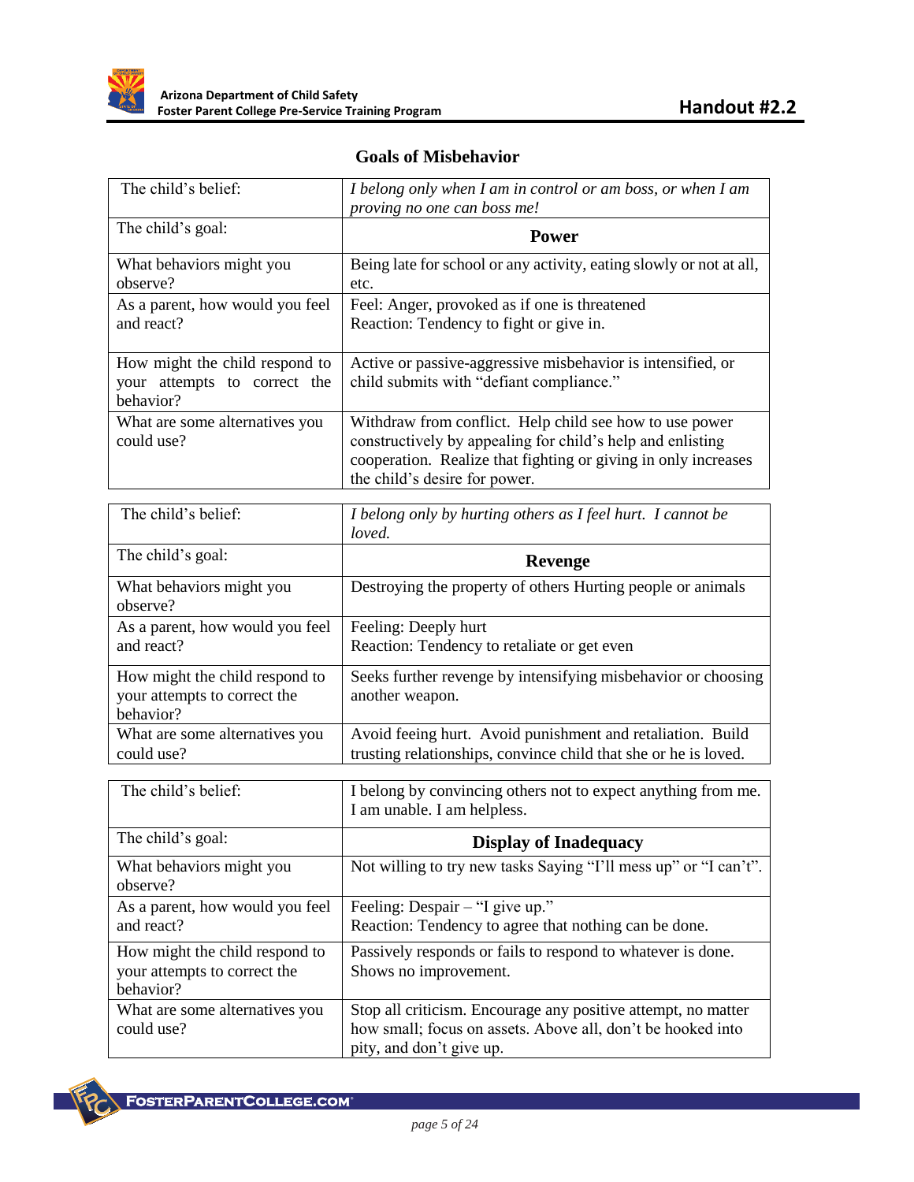

#### **Goals of Misbehavior**

| The child's belief:                                                         | I belong only when I am in control or am boss, or when I am<br>proving no one can boss me!                                                                                                                               |
|-----------------------------------------------------------------------------|--------------------------------------------------------------------------------------------------------------------------------------------------------------------------------------------------------------------------|
| The child's goal:                                                           | <b>Power</b>                                                                                                                                                                                                             |
| What behaviors might you<br>observe?                                        | Being late for school or any activity, eating slowly or not at all,<br>etc.                                                                                                                                              |
| As a parent, how would you feel<br>and react?                               | Feel: Anger, provoked as if one is threatened<br>Reaction: Tendency to fight or give in.                                                                                                                                 |
| How might the child respond to<br>your attempts to correct the<br>behavior? | Active or passive-aggressive misbehavior is intensified, or<br>child submits with "defiant compliance."                                                                                                                  |
| What are some alternatives you<br>could use?                                | Withdraw from conflict. Help child see how to use power<br>constructively by appealing for child's help and enlisting<br>cooperation. Realize that fighting or giving in only increases<br>the child's desire for power. |
| The child's belief:                                                         | I belong only by hurting others as I feel hurt. I cannot be                                                                                                                                                              |

| THE CHILLES DELICI.                                                         | T belong only by harting others as I feel hard. I cannot be<br>loved.                                                         |
|-----------------------------------------------------------------------------|-------------------------------------------------------------------------------------------------------------------------------|
| The child's goal:                                                           | <b>Revenge</b>                                                                                                                |
| What behaviors might you<br>observe?                                        | Destroying the property of others Hurting people or animals                                                                   |
| As a parent, how would you feel<br>and react?                               | Feeling: Deeply hurt<br>Reaction: Tendency to retaliate or get even                                                           |
| How might the child respond to<br>your attempts to correct the<br>behavior? | Seeks further revenge by intensifying misbehavior or choosing<br>another weapon.                                              |
| What are some alternatives you<br>could use?                                | Avoid feeing hurt. Avoid punishment and retaliation. Build<br>trusting relationships, convince child that she or he is loved. |

| The child's belief:                                                         | I belong by convincing others not to expect anything from me.<br>I am unable. I am helpless.                                                             |
|-----------------------------------------------------------------------------|----------------------------------------------------------------------------------------------------------------------------------------------------------|
| The child's goal:                                                           | <b>Display of Inadequacy</b>                                                                                                                             |
| What behaviors might you<br>observe?                                        | Not willing to try new tasks Saying "I'll mess up" or "I can't".                                                                                         |
| As a parent, how would you feel<br>and react?                               | Feeling: Despair – "I give up."<br>Reaction: Tendency to agree that nothing can be done.                                                                 |
| How might the child respond to<br>your attempts to correct the<br>behavior? | Passively responds or fails to respond to whatever is done.<br>Shows no improvement.                                                                     |
| What are some alternatives you<br>could use?                                | Stop all criticism. Encourage any positive attempt, no matter<br>how small; focus on assets. Above all, don't be hooked into<br>pity, and don't give up. |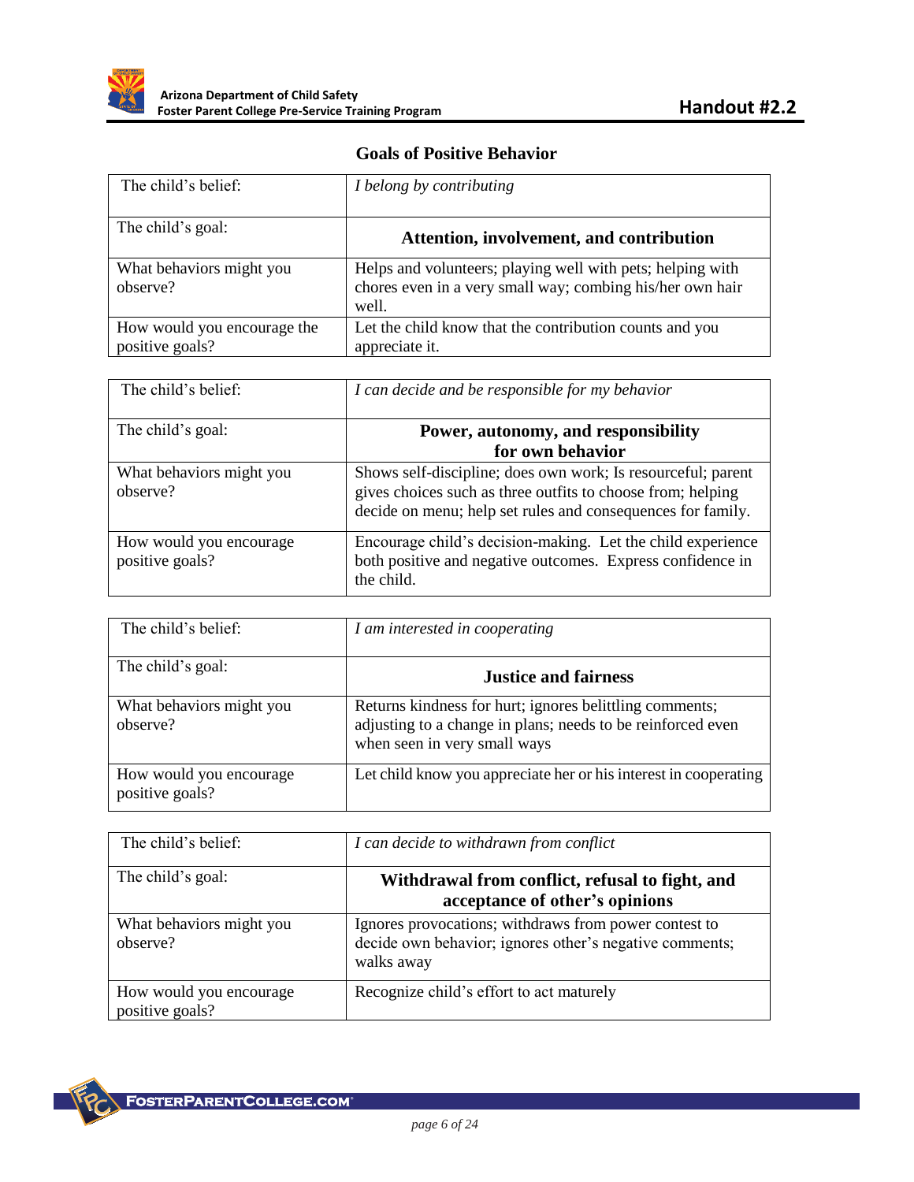

# **Goals of Positive Behavior**

| The child's belief:                            | I belong by contributing                                                                                                         |
|------------------------------------------------|----------------------------------------------------------------------------------------------------------------------------------|
| The child's goal:                              | Attention, involvement, and contribution                                                                                         |
| What behaviors might you<br>observe?           | Helps and volunteers; playing well with pets; helping with<br>chores even in a very small way; combing his/her own hair<br>well. |
| How would you encourage the<br>positive goals? | Let the child know that the contribution counts and you<br>appreciate it.                                                        |

| The child's belief:                        | I can decide and be responsible for my behavior                                                                                                                                            |
|--------------------------------------------|--------------------------------------------------------------------------------------------------------------------------------------------------------------------------------------------|
| The child's goal:                          | Power, autonomy, and responsibility<br>for own behavior                                                                                                                                    |
| What behaviors might you<br>observe?       | Shows self-discipline; does own work; Is resourceful; parent<br>gives choices such as three outfits to choose from; helping<br>decide on menu; help set rules and consequences for family. |
| How would you encourage<br>positive goals? | Encourage child's decision-making. Let the child experience<br>both positive and negative outcomes. Express confidence in<br>the child.                                                    |

| The child's belief:                        | I am interested in cooperating                                                                                                                         |
|--------------------------------------------|--------------------------------------------------------------------------------------------------------------------------------------------------------|
| The child's goal:                          | <b>Justice and fairness</b>                                                                                                                            |
| What behaviors might you<br>observe?       | Returns kindness for hurt; ignores belittling comments;<br>adjusting to a change in plans; needs to be reinforced even<br>when seen in very small ways |
| How would you encourage<br>positive goals? | Let child know you appreciate her or his interest in cooperating                                                                                       |

| The child's belief:                        | I can decide to withdrawn from conflict                                                                                        |
|--------------------------------------------|--------------------------------------------------------------------------------------------------------------------------------|
| The child's goal:                          | Withdrawal from conflict, refusal to fight, and<br>acceptance of other's opinions                                              |
| What behaviors might you<br>observe?       | Ignores provocations; withdraws from power contest to<br>decide own behavior; ignores other's negative comments;<br>walks away |
| How would you encourage<br>positive goals? | Recognize child's effort to act maturely                                                                                       |

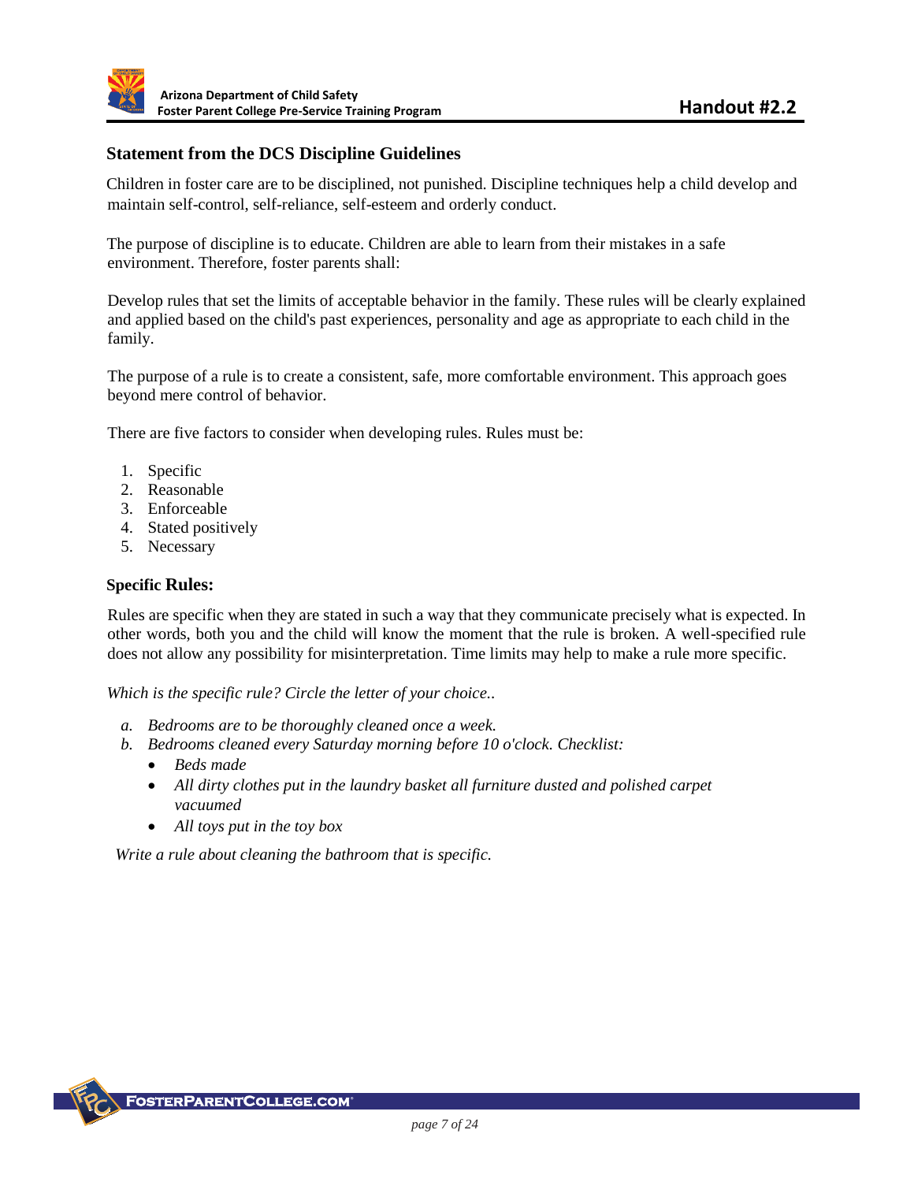#### **Statement from the DCS Discipline Guidelines**

Children in foster care are to be disciplined, not punished. Discipline techniques help a child develop and maintain self-control, self-reliance, self-esteem and orderly conduct.

The purpose of discipline is to educate. Children are able to learn from their mistakes in a safe environment. Therefore, foster parents shall:

Develop rules that set the limits of acceptable behavior in the family. These rules will be clearly explained and applied based on the child's past experiences, personality and age as appropriate to each child in the family.

The purpose of a rule is to create a consistent, safe, more comfortable environment. This approach goes beyond mere control of behavior.

There are five factors to consider when developing rules. Rules must be:

- 1. Specific
- 2. Reasonable
- 3. Enforceable
- 4. Stated positively
- 5. Necessary

#### **Specific Rules:**

Rules are specific when they are stated in such a way that they communicate precisely what is expected. In other words, both you and the child will know the moment that the rule is broken. A well-specified rule does not allow any possibility for misinterpretation. Time limits may help to make a rule more specific.

*Which is the specific rule? Circle the letter of your choice..* 

- *a. Bedrooms are to be thoroughly cleaned once a week.*
- *b. Bedrooms cleaned every Saturday morning before 10 o'clock. Checklist:* 
	- *Beds made*
	- *All dirty clothes put in the laundry basket all furniture dusted and polished carpet vacuumed*
	- *All toys put in the toy box*

*Write a rule about cleaning the bathroom that is specific.*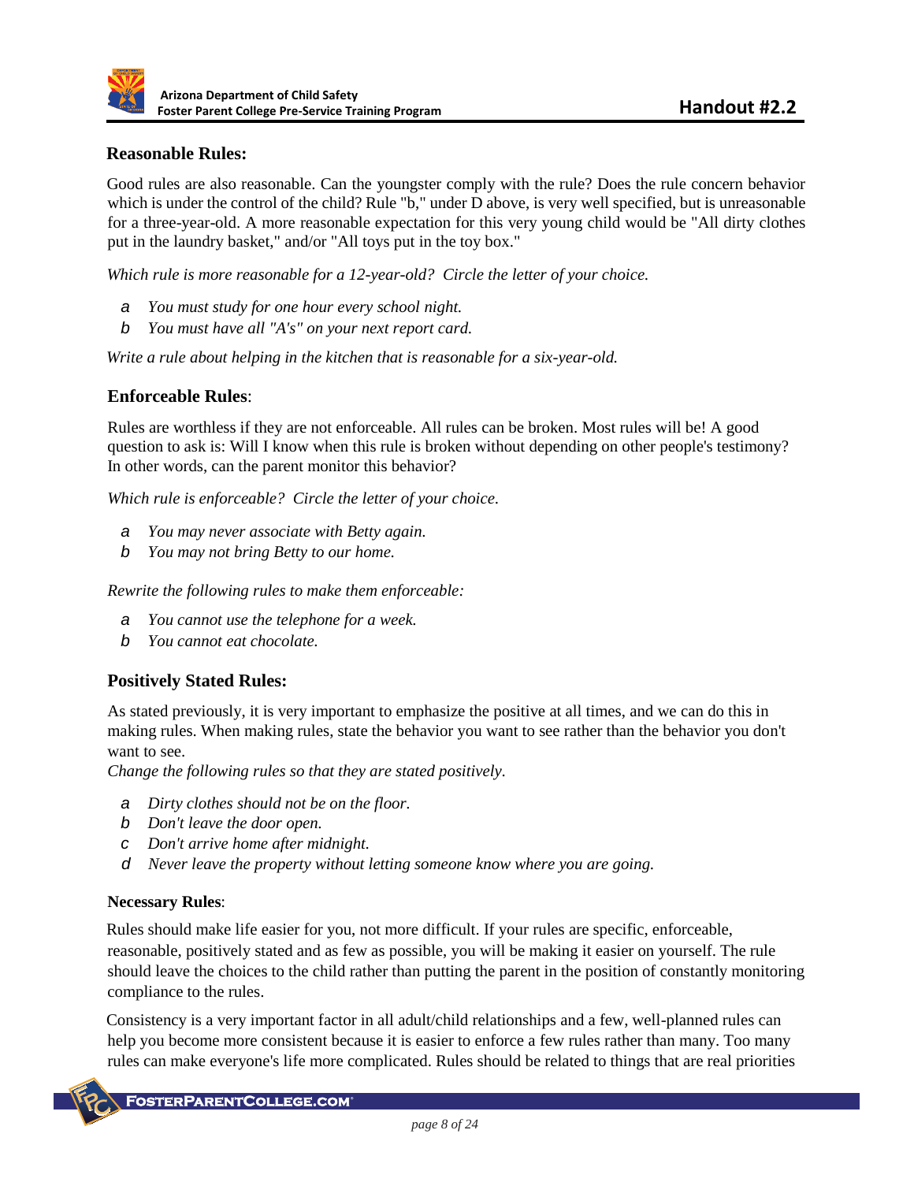#### **Reasonable Rules:**

Good rules are also reasonable. Can the youngster comply with the rule? Does the rule concern behavior which is under the control of the child? Rule "b," under D above, is very well specified, but is unreasonable for a three-year-old. A more reasonable expectation for this very young child would be "All dirty clothes put in the laundry basket," and/or "All toys put in the toy box."

*Which rule is more reasonable for a 12-year-old? Circle the letter of your choice.* 

- *a You must study for one hour every school night.*
- *b You must have all "A's" on your next report card.*

*Write a rule about helping in the kitchen that is reasonable for a six-year-old.* 

#### **Enforceable Rules**:

Rules are worthless if they are not enforceable. All rules can be broken. Most rules will be! A good question to ask is: Will I know when this rule is broken without depending on other people's testimony? In other words, can the parent monitor this behavior?

*Which rule is enforceable? Circle the letter of your choice.*

- *a You may never associate with Betty again.*
- *b You may not bring Betty to our home.*

*Rewrite the following rules to make them enforceable:* 

- *a You cannot use the telephone for a week.*
- *b You cannot eat chocolate.*

#### **Positively Stated Rules:**

As stated previously, it is very important to emphasize the positive at all times, and we can do this in making rules. When making rules, state the behavior you want to see rather than the behavior you don't want to see.

*Change the following rules so that they are stated positively.* 

- *a Dirty clothes should not be on the floor.*
- *b Don't leave the door open.*
- *c Don't arrive home after midnight.*
- *d Never leave the property without letting someone know where you are going.*

#### **Necessary Rules**:

Rules should make life easier for you, not more difficult. If your rules are specific, enforceable, reasonable, positively stated and as few as possible, you will be making it easier on yourself. The rule should leave the choices to the child rather than putting the parent in the position of constantly monitoring compliance to the rules.

Consistency is a very important factor in all adult/child relationships and a few, well-planned rules can help you become more consistent because it is easier to enforce a few rules rather than many. Too many rules can make everyone's life more complicated. Rules should be related to things that are real priorities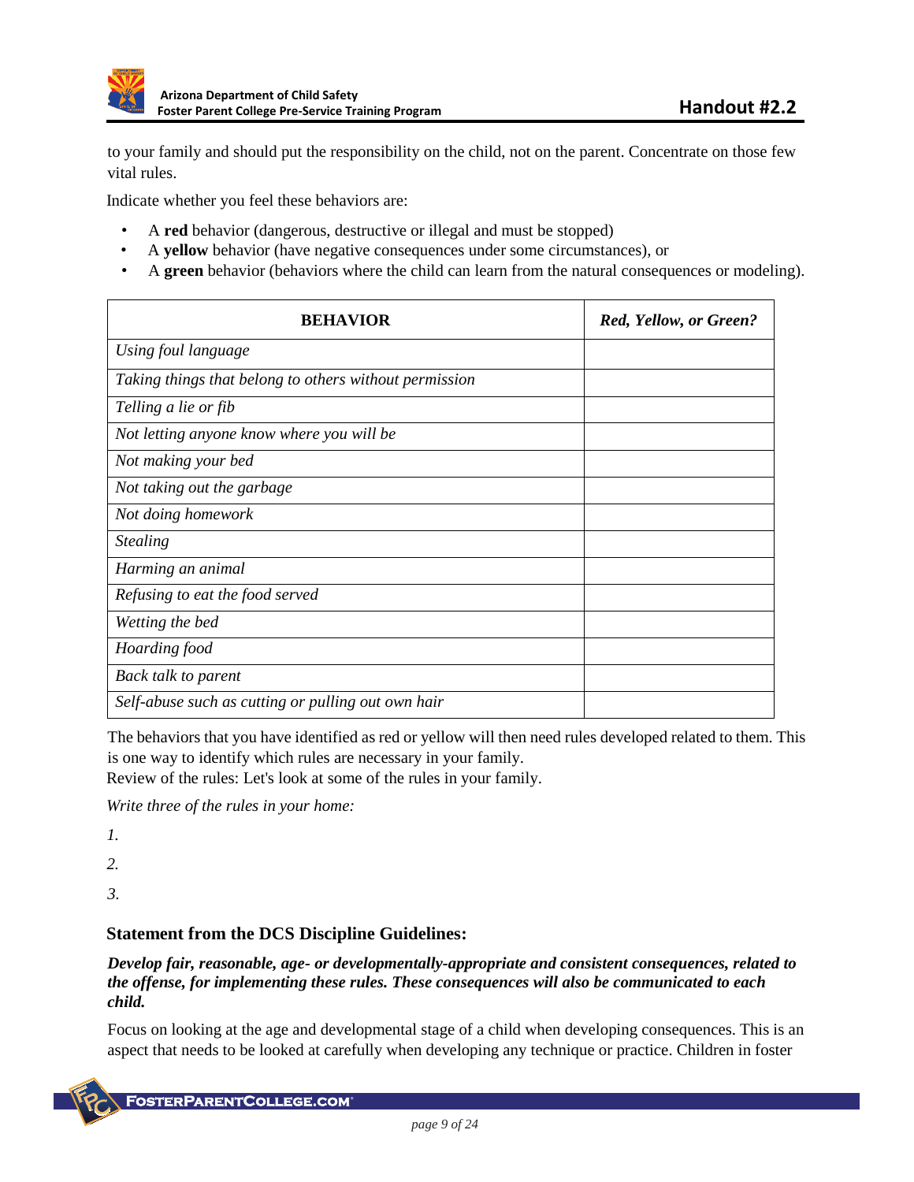

to your family and should put the responsibility on the child, not on the parent. Concentrate on those few vital rules.

Indicate whether you feel these behaviors are:

- A **red** behavior (dangerous, destructive or illegal and must be stopped)
- A **yellow** behavior (have negative consequences under some circumstances), or
- A **green** behavior (behaviors where the child can learn from the natural consequences or modeling).

| <b>BEHAVIOR</b>                                        | Red, Yellow, or Green? |
|--------------------------------------------------------|------------------------|
| Using foul language                                    |                        |
| Taking things that belong to others without permission |                        |
| Telling a lie or fib                                   |                        |
| Not letting anyone know where you will be              |                        |
| Not making your bed                                    |                        |
| Not taking out the garbage                             |                        |
| Not doing homework                                     |                        |
| <b>Stealing</b>                                        |                        |
| Harming an animal                                      |                        |
| Refusing to eat the food served                        |                        |
| Wetting the bed                                        |                        |
| Hoarding food                                          |                        |
| Back talk to parent                                    |                        |
| Self-abuse such as cutting or pulling out own hair     |                        |

The behaviors that you have identified as red or yellow will then need rules developed related to them. This is one way to identify which rules are necessary in your family.

Review of the rules: Let's look at some of the rules in your family.

*Write three of the rules in your home:* 

*1.* 

*2.* 

*3.* 

#### **Statement from the DCS Discipline Guidelines:**

*Develop fair, reasonable, age- or developmentally-appropriate and consistent consequences, related to the offense, for implementing these rules. These consequences will also be communicated to each child.* 

Focus on looking at the age and developmental stage of a child when developing consequences. This is an aspect that needs to be looked at carefully when developing any technique or practice. Children in foster

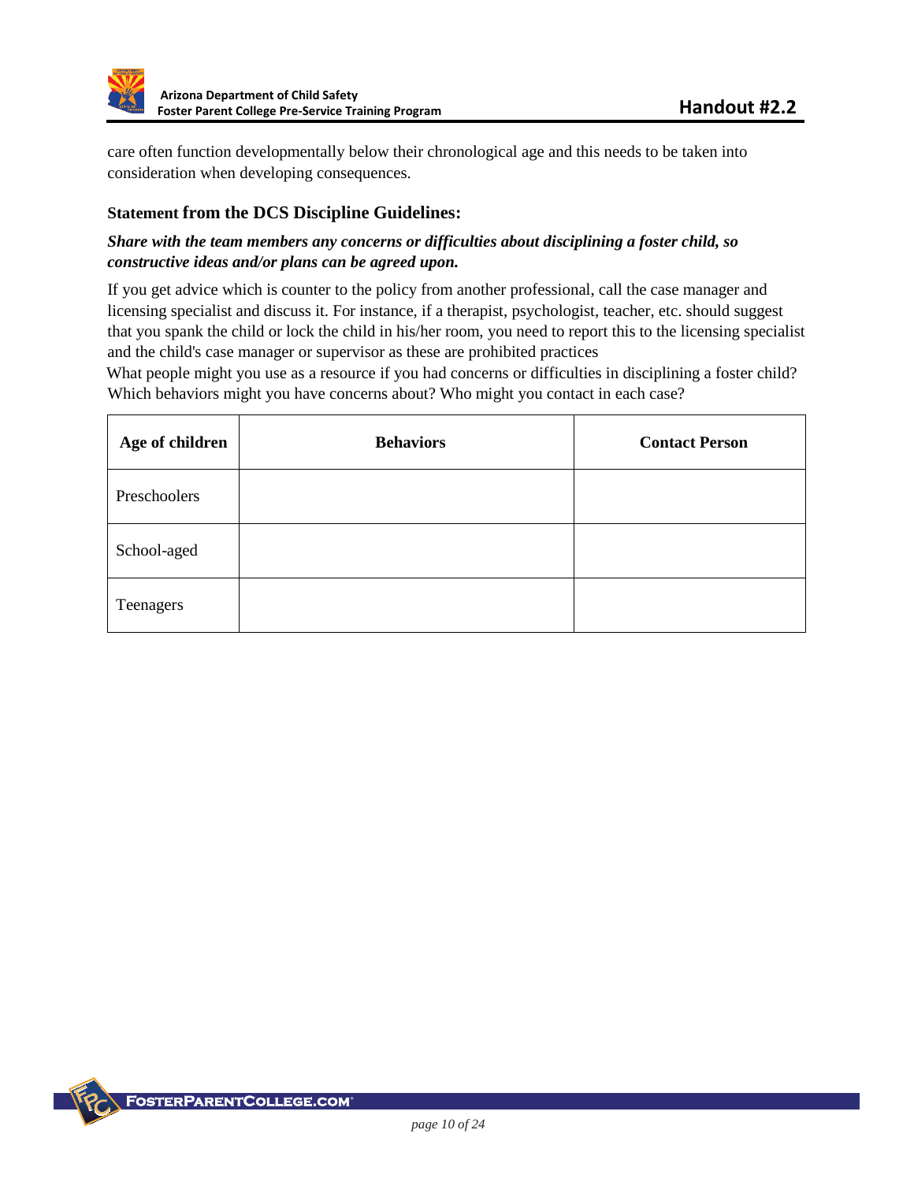

care often function developmentally below their chronological age and this needs to be taken into consideration when developing consequences.

#### **Statement from the DCS Discipline Guidelines:**

#### *Share with the team members any concerns or difficulties about disciplining a foster child, so constructive ideas and/or plans can be agreed upon.*

If you get advice which is counter to the policy from another professional, call the case manager and licensing specialist and discuss it. For instance, if a therapist, psychologist, teacher, etc. should suggest that you spank the child or lock the child in his/her room, you need to report this to the licensing specialist and the child's case manager or supervisor as these are prohibited practices

What people might you use as a resource if you had concerns or difficulties in disciplining a foster child? Which behaviors might you have concerns about? Who might you contact in each case?

| Age of children | <b>Behaviors</b> | <b>Contact Person</b> |
|-----------------|------------------|-----------------------|
| Preschoolers    |                  |                       |
| School-aged     |                  |                       |
| Teenagers       |                  |                       |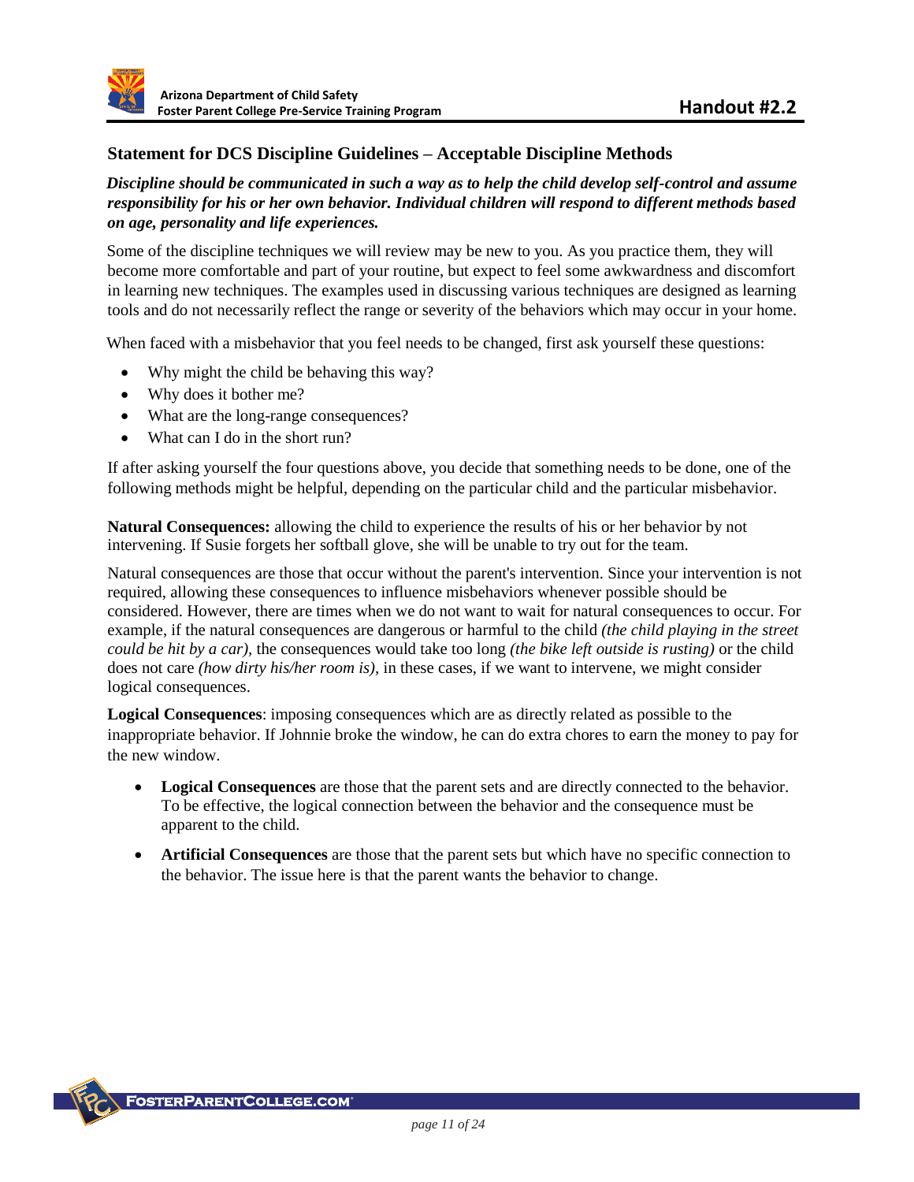### **Statement for DCS Discipline Guidelines – Acceptable Discipline Methods**

#### *Discipline should be communicated in such a way as to help the child develop self-control and assume responsibility for his or her own behavior. Individual children will respond to different methods based on age, personality and life experiences.*

Some of the discipline techniques we will review may be new to you. As you practice them, they will become more comfortable and part of your routine, but expect to feel some awkwardness and discomfort in learning new techniques. The examples used in discussing various techniques are designed as learning tools and do not necessarily reflect the range or severity of the behaviors which may occur in your home.

When faced with a misbehavior that you feel needs to be changed, first ask yourself these questions:

- Why might the child be behaving this way?
- Why does it bother me?
- What are the long-range consequences?
- What can I do in the short run?

If after asking yourself the four questions above, you decide that something needs to be done, one of the following methods might be helpful, depending on the particular child and the particular misbehavior.

**Natural Consequences:** allowing the child to experience the results of his or her behavior by not intervening. If Susie forgets her softball glove, she will be unable to try out for the team.

Natural consequences are those that occur without the parent's intervention. Since your intervention is not required, allowing these consequences to influence misbehaviors whenever possible should be considered. However, there are times when we do not want to wait for natural consequences to occur. For example, if the natural consequences are dangerous or harmful to the child *(the child playing in the street could be hit by a car),* the consequences would take too long *(the bike left outside is rusting)* or the child does not care *(how dirty his/her room is),* in these cases, if we want to intervene, we might consider logical consequences.

**Logical Consequences**: imposing consequences which are as directly related as possible to the inappropriate behavior. If Johnnie broke the window, he can do extra chores to earn the money to pay for the new window.

- **Logical Consequences** are those that the parent sets and are directly connected to the behavior. To be effective, the logical connection between the behavior and the consequence must be apparent to the child.
- **Artificial Consequences** are those that the parent sets but which have no specific connection to the behavior. The issue here is that the parent wants the behavior to change.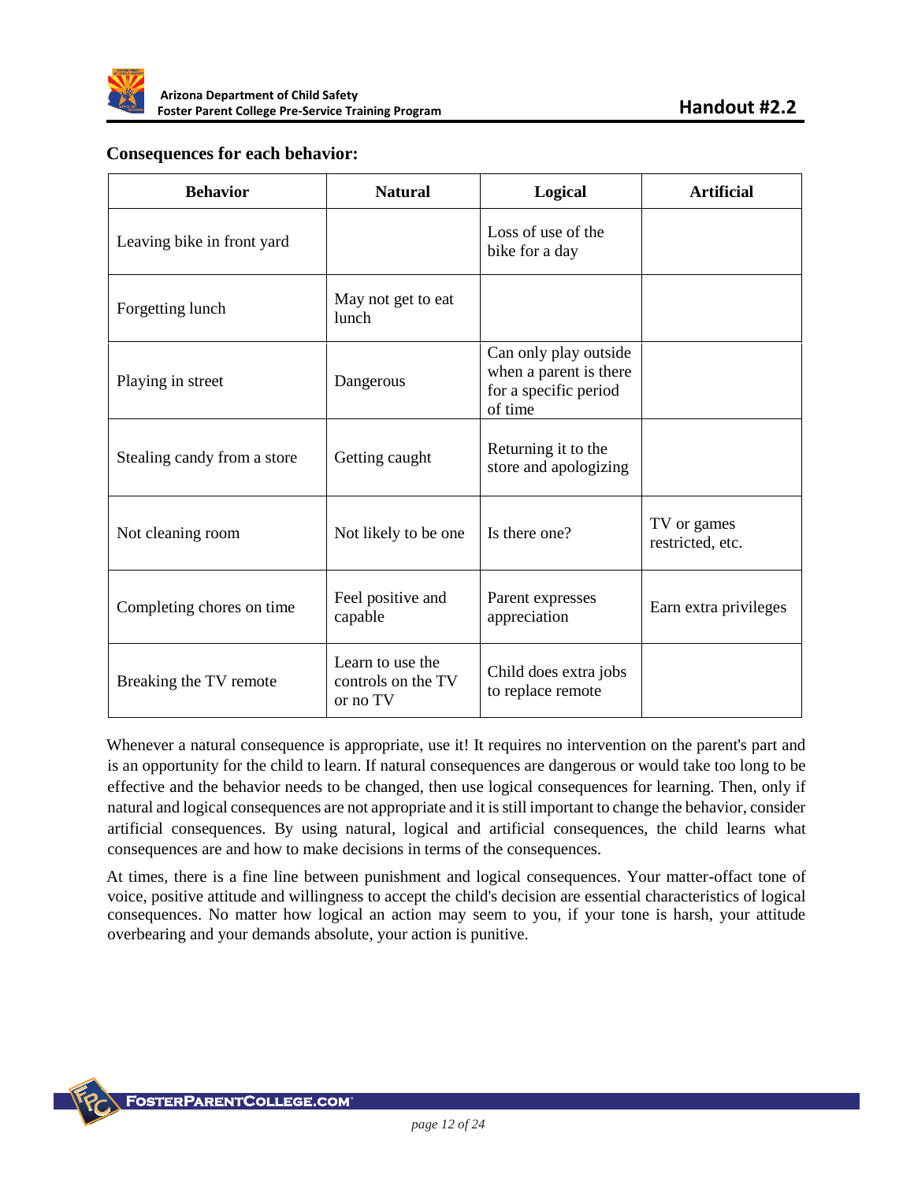

#### **Consequences for each behavior:**

| <b>Behavior</b>             | <b>Natural</b>                                     | Logical                                                                             | <b>Artificial</b>               |
|-----------------------------|----------------------------------------------------|-------------------------------------------------------------------------------------|---------------------------------|
| Leaving bike in front yard  |                                                    | Loss of use of the<br>bike for a day                                                |                                 |
| Forgetting lunch            | May not get to eat<br>lunch                        |                                                                                     |                                 |
| Playing in street           | Dangerous                                          | Can only play outside<br>when a parent is there<br>for a specific period<br>of time |                                 |
| Stealing candy from a store | Getting caught                                     | Returning it to the<br>store and apologizing                                        |                                 |
| Not cleaning room           | Not likely to be one                               | Is there one?                                                                       | TV or games<br>restricted, etc. |
| Completing chores on time   | Feel positive and<br>capable                       | Parent expresses<br>appreciation                                                    | Earn extra privileges           |
| Breaking the TV remote      | Learn to use the<br>controls on the TV<br>or no TV | Child does extra jobs<br>to replace remote                                          |                                 |

Whenever a natural consequence is appropriate, use it! It requires no intervention on the parent's part and is an opportunity for the child to learn. If natural consequences are dangerous or would take too long to be effective and the behavior needs to be changed, then use logical consequences for learning. Then, only if natural and logical consequences are not appropriate and it is still important to change the behavior, consider artificial consequences. By using natural, logical and artificial consequences, the child learns what consequences are and how to make decisions in terms of the consequences.

At times, there is a fine line between punishment and logical consequences. Your matter-offact tone of voice, positive attitude and willingness to accept the child's decision are essential characteristics of logical consequences. No matter how logical an action may seem to you, if your tone is harsh, your attitude overbearing and your demands absolute, your action is punitive.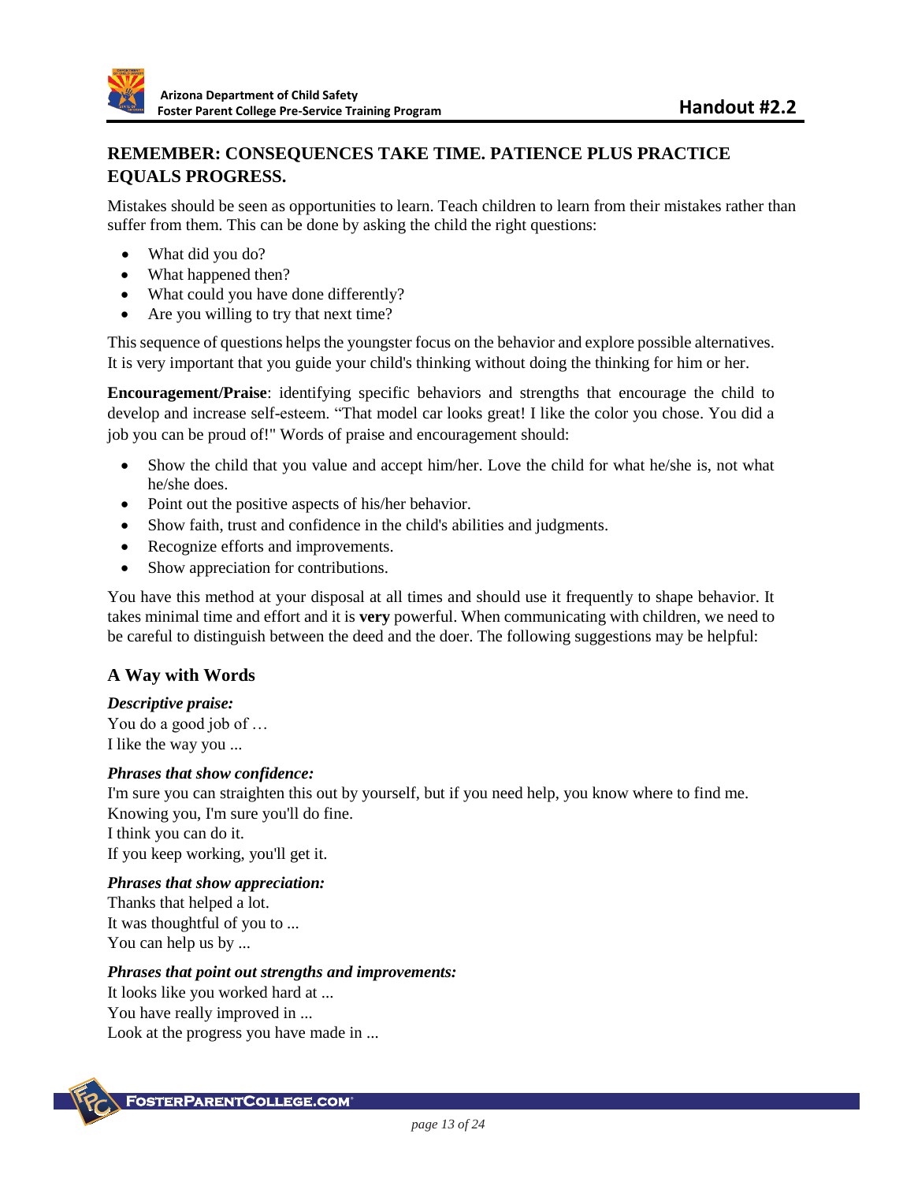# **REMEMBER: CONSEQUENCES TAKE TIME. PATIENCE PLUS PRACTICE EQUALS PROGRESS.**

Mistakes should be seen as opportunities to learn. Teach children to learn from their mistakes rather than suffer from them. This can be done by asking the child the right questions:

- What did you do?
- What happened then?
- What could you have done differently?
- Are you willing to try that next time?

This sequence of questions helps the youngster focus on the behavior and explore possible alternatives. It is very important that you guide your child's thinking without doing the thinking for him or her.

**Encouragement/Praise**: identifying specific behaviors and strengths that encourage the child to develop and increase self-esteem. "That model car looks great! I like the color you chose. You did a job you can be proud of!" Words of praise and encouragement should:

- Show the child that you value and accept him/her. Love the child for what he/she is, not what he/she does.
- Point out the positive aspects of his/her behavior.
- Show faith, trust and confidence in the child's abilities and judgments.
- Recognize efforts and improvements.
- Show appreciation for contributions.

You have this method at your disposal at all times and should use it frequently to shape behavior. It takes minimal time and effort and it is **very** powerful. When communicating with children, we need to be careful to distinguish between the deed and the doer. The following suggestions may be helpful:

# **A Way with Words**

*Descriptive praise:*  You do a good job of … I like the way you ...

#### *Phrases that show confidence:*

I'm sure you can straighten this out by yourself, but if you need help, you know where to find me. Knowing you, I'm sure you'll do fine. I think you can do it. If you keep working, you'll get it.

#### *Phrases that show appreciation:*

Thanks that helped a lot. It was thoughtful of you to ... You can help us by ...

#### *Phrases that point out strengths and improvements:*

It looks like you worked hard at ... You have really improved in ... Look at the progress you have made in ...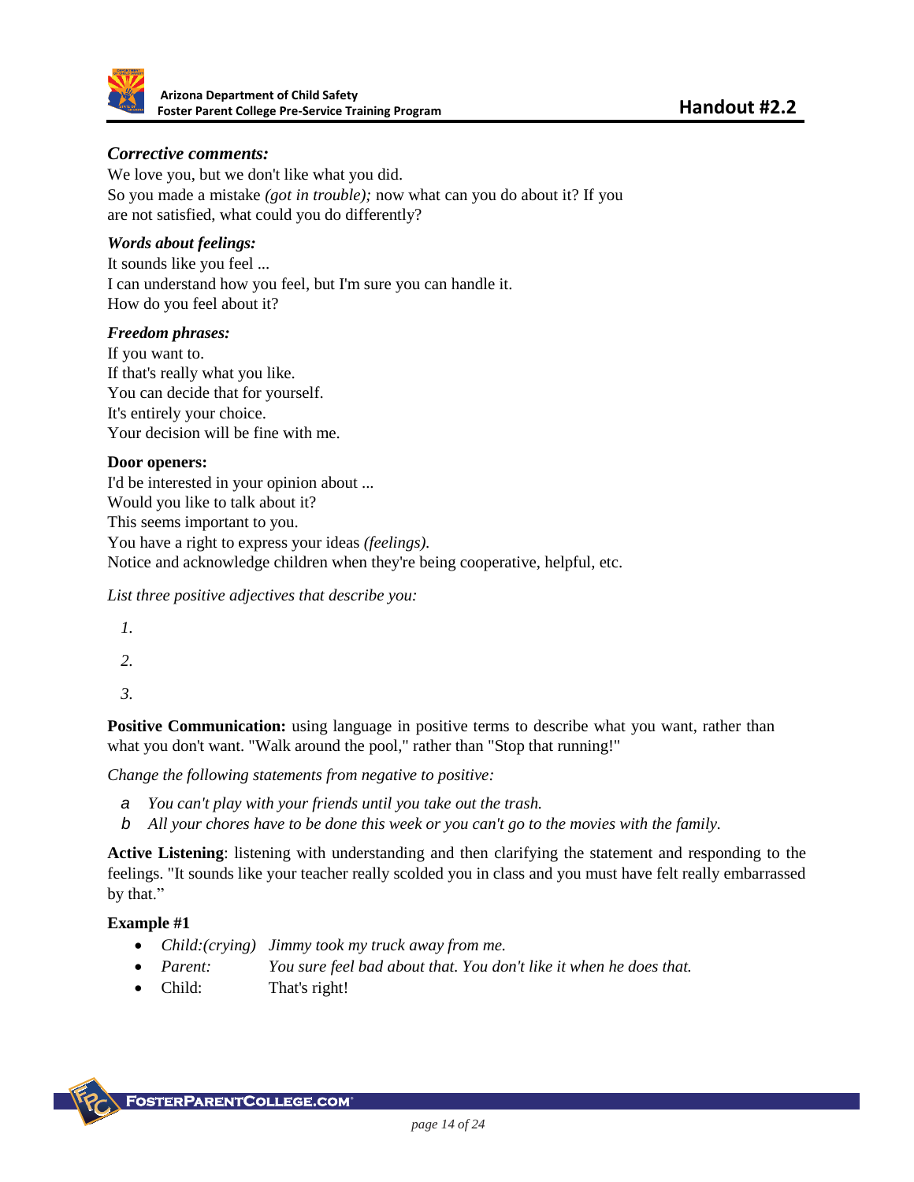

#### *Corrective comments:*

We love you, but we don't like what you did. So you made a mistake *(got in trouble);* now what can you do about it? If you are not satisfied, what could you do differently?

#### *Words about feelings:*

It sounds like you feel ... I can understand how you feel, but I'm sure you can handle it. How do you feel about it?

#### *Freedom phrases:*

If you want to. If that's really what you like. You can decide that for yourself. It's entirely your choice. Your decision will be fine with me.

#### **Door openers:**

I'd be interested in your opinion about ... Would you like to talk about it? This seems important to you. You have a right to express your ideas *(feelings).* Notice and acknowledge children when they're being cooperative, helpful, etc.

*List three positive adjectives that describe you:* 

*1.* 

*2.* 

*3.* 

**Positive Communication:** using language in positive terms to describe what you want, rather than what you don't want. "Walk around the pool," rather than "Stop that running!"

*Change the following statements from negative to positive:* 

- *a You can't play with your friends until you take out the trash.*
- *b All your chores have to be done this week or you can't go to the movies with the family.*

**Active Listening**: listening with understanding and then clarifying the statement and responding to the feelings. "It sounds like your teacher really scolded you in class and you must have felt really embarrassed by that."

#### **Example #1**

- *Child:(crying) Jimmy took my truck away from me.*
- *Parent: You sure feel bad about that. You don't like it when he does that.*
- Child: That's right!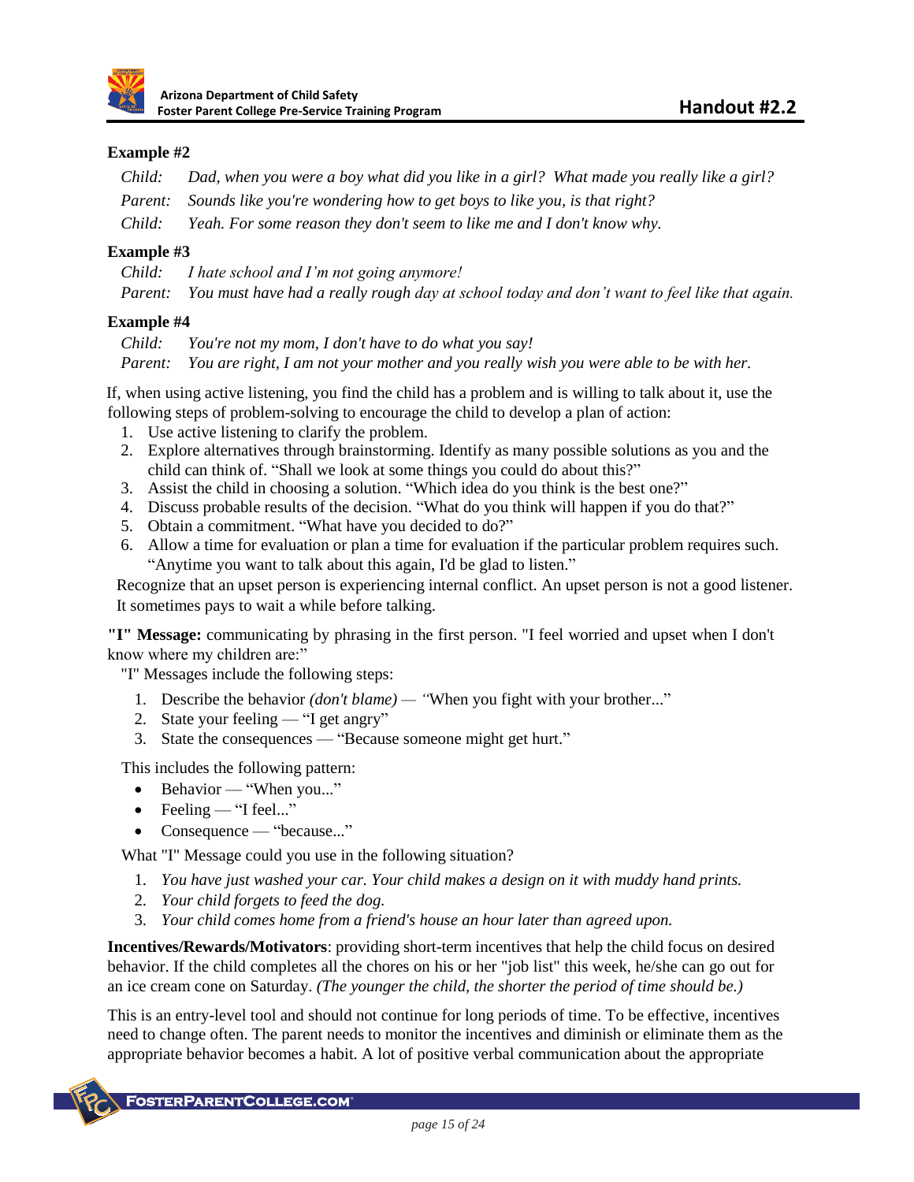#### **Example #2**

| Child: | Dad, when you were a boy what did you like in a girl? What made you really like a girl? |
|--------|-----------------------------------------------------------------------------------------|
|        | Parent: Sounds like you're wondering how to get boys to like you, is that right?        |
| Child: | Yeah. For some reason they don't seem to like me and I don't know why.                  |

#### **Example #3**

*Child: I hate school and I'm not going anymore! Parent: You must have had a really rough day at school today and don't want to feel like that again.*

#### **Example #4**

*Child: You're not my mom, I don't have to do what you say!* 

*Parent: You are right, I am not your mother and you really wish you were able to be with her.*

If, when using active listening, you find the child has a problem and is willing to talk about it, use the following steps of problem-solving to encourage the child to develop a plan of action:

- 1. Use active listening to clarify the problem.
- 2. Explore alternatives through brainstorming. Identify as many possible solutions as you and the child can think of. "Shall we look at some things you could do about this?"
- 3. Assist the child in choosing a solution. "Which idea do you think is the best one?"
- 4. Discuss probable results of the decision. "What do you think will happen if you do that?"
- 5. Obtain a commitment. "What have you decided to do?"
- 6. Allow a time for evaluation or plan a time for evaluation if the particular problem requires such. "Anytime you want to talk about this again, I'd be glad to listen."

Recognize that an upset person is experiencing internal conflict. An upset person is not a good listener. It sometimes pays to wait a while before talking.

**"I" Message:** communicating by phrasing in the first person. "I feel worried and upset when I don't know where my children are:"

"I" Messages include the following steps:

- 1. Describe the behavior *(don't blame) — "*When you fight with your brother..."
- 2. State your feeling "I get angry"
- 3. State the consequences "Because someone might get hurt."

This includes the following pattern:

- Behavior "When you..."
- $\bullet$  Feeling "I feel..."
- Consequence "because..."

What "I" Message could you use in the following situation?

- 1. *You have just washed your car. Your child makes a design on it with muddy hand prints.*
- 2. *Your child forgets to feed the dog.*
- 3. *Your child comes home from a friend's house an hour later than agreed upon.*

**Incentives/Rewards/Motivators**: providing short-term incentives that help the child focus on desired behavior. If the child completes all the chores on his or her "job list" this week, he/she can go out for an ice cream cone on Saturday. *(The younger the child, the shorter the period of time should be.)* 

This is an entry-level tool and should not continue for long periods of time. To be effective, incentives need to change often. The parent needs to monitor the incentives and diminish or eliminate them as the appropriate behavior becomes a habit. A lot of positive verbal communication about the appropriate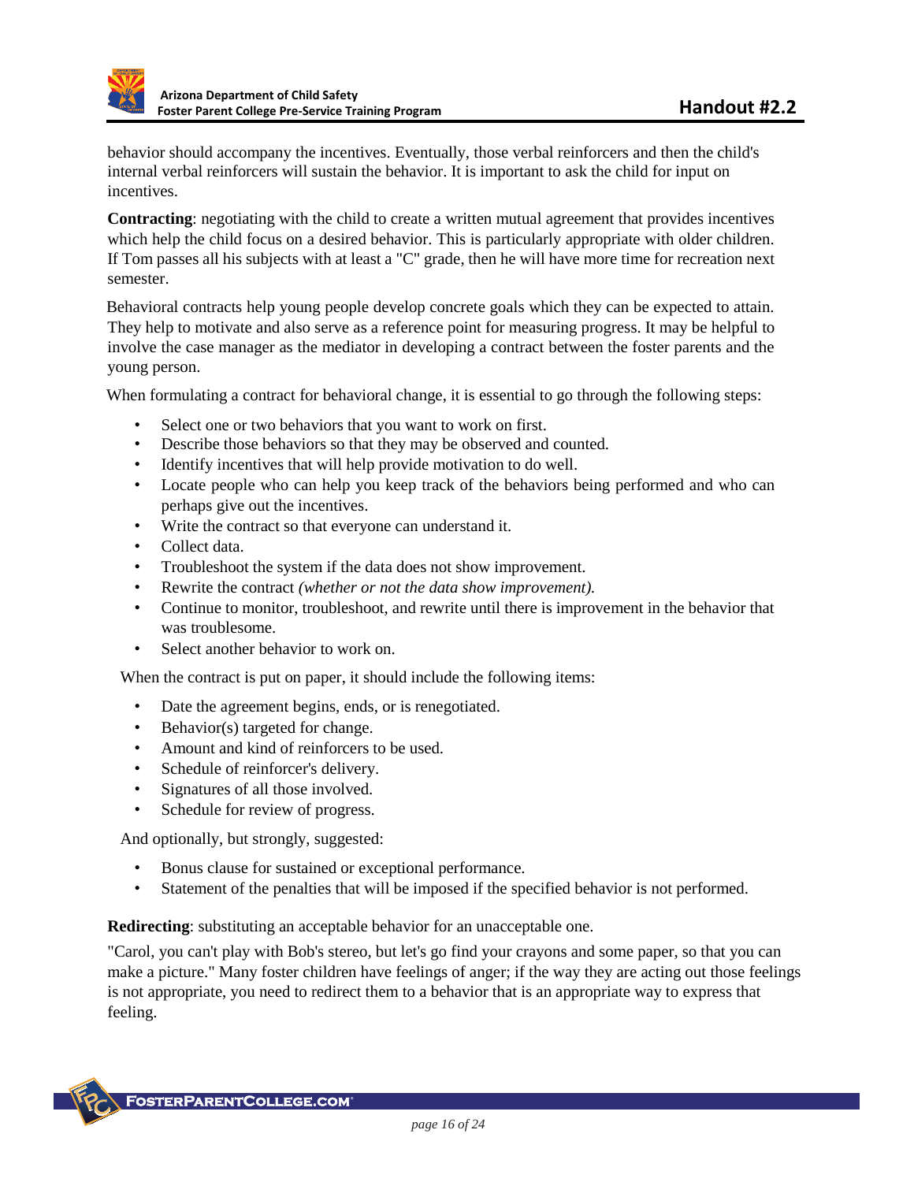

behavior should accompany the incentives. Eventually, those verbal reinforcers and then the child's internal verbal reinforcers will sustain the behavior. It is important to ask the child for input on *incentives* 

**Contracting**: negotiating with the child to create a written mutual agreement that provides incentives which help the child focus on a desired behavior. This is particularly appropriate with older children. If Tom passes all his subjects with at least a "C" grade, then he will have more time for recreation next semester.

Behavioral contracts help young people develop concrete goals which they can be expected to attain. They help to motivate and also serve as a reference point for measuring progress. It may be helpful to involve the case manager as the mediator in developing a contract between the foster parents and the young person.

When formulating a contract for behavioral change, it is essential to go through the following steps:

- Select one or two behaviors that you want to work on first.
- Describe those behaviors so that they may be observed and counted.
- Identify incentives that will help provide motivation to do well.
- Locate people who can help you keep track of the behaviors being performed and who can perhaps give out the incentives.
- Write the contract so that everyone can understand it.
- Collect data.
- Troubleshoot the system if the data does not show improvement.
- Rewrite the contract *(whether or not the data show improvement).*
- Continue to monitor, troubleshoot, and rewrite until there is improvement in the behavior that was troublesome.
- Select another behavior to work on.

When the contract is put on paper, it should include the following items:

- Date the agreement begins, ends, or is renegotiated.
- Behavior(s) targeted for change.
- Amount and kind of reinforcers to be used.
- Schedule of reinforcer's delivery.
- Signatures of all those involved.
- Schedule for review of progress.

And optionally, but strongly, suggested:

- Bonus clause for sustained or exceptional performance.
- Statement of the penalties that will be imposed if the specified behavior is not performed.

**Redirecting**: substituting an acceptable behavior for an unacceptable one.

"Carol, you can't play with Bob's stereo, but let's go find your crayons and some paper, so that you can make a picture." Many foster children have feelings of anger; if the way they are acting out those feelings is not appropriate, you need to redirect them to a behavior that is an appropriate way to express that feeling.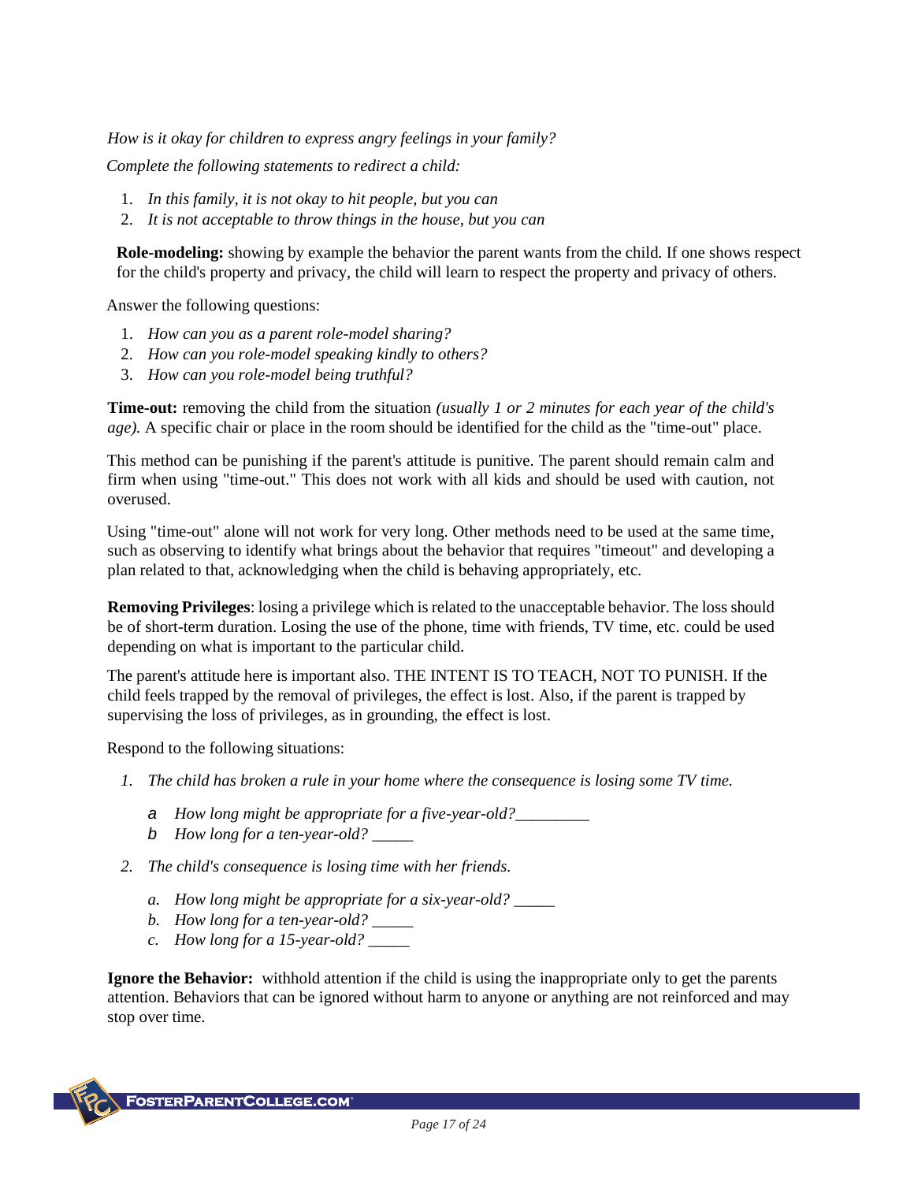*How is it okay for children to express angry feelings in your family?* 

*Complete the following statements to redirect a child:* 

- 1. *In this family, it is not okay to hit people, but you can*
- 2. *It is not acceptable to throw things in the house, but you can*

**Role-modeling:** showing by example the behavior the parent wants from the child. If one shows respect for the child's property and privacy, the child will learn to respect the property and privacy of others.

Answer the following questions:

- 1. *How can you as a parent role-model sharing?*
- 2. *How can you role-model speaking kindly to others?*
- 3. *How can you role-model being truthful?*

**Time-out:** removing the child from the situation *(usually 1 or 2 minutes for each year of the child's age).* A specific chair or place in the room should be identified for the child as the "time-out" place.

This method can be punishing if the parent's attitude is punitive. The parent should remain calm and firm when using "time-out." This does not work with all kids and should be used with caution, not overused.

Using "time-out" alone will not work for very long. Other methods need to be used at the same time, such as observing to identify what brings about the behavior that requires "timeout" and developing a plan related to that, acknowledging when the child is behaving appropriately, etc.

**Removing Privileges**: losing a privilege which is related to the unacceptable behavior. The loss should be of short-term duration. Losing the use of the phone, time with friends, TV time, etc. could be used depending on what is important to the particular child.

The parent's attitude here is important also. THE INTENT IS TO TEACH, NOT TO PUNISH. If the child feels trapped by the removal of privileges, the effect is lost. Also, if the parent is trapped by supervising the loss of privileges, as in grounding, the effect is lost.

Respond to the following situations:

- *1. The child has broken a rule in your home where the consequence is losing some TV time.* 
	- *a How long might be appropriate for a five-year-old?\_\_\_\_\_\_\_\_\_*
	- *b How long for a ten-year-old?*
- *2. The child's consequence is losing time with her friends.* 
	- *a. How long might be appropriate for a six-year-old? \_\_\_\_\_*
	- *b. How long for a ten-year-old? \_\_\_\_\_*
	- *c. How long for a 15-year-old? \_\_\_\_\_*

**Ignore the Behavior:** withhold attention if the child is using the inappropriate only to get the parents attention. Behaviors that can be ignored without harm to anyone or anything are not reinforced and may stop over time.

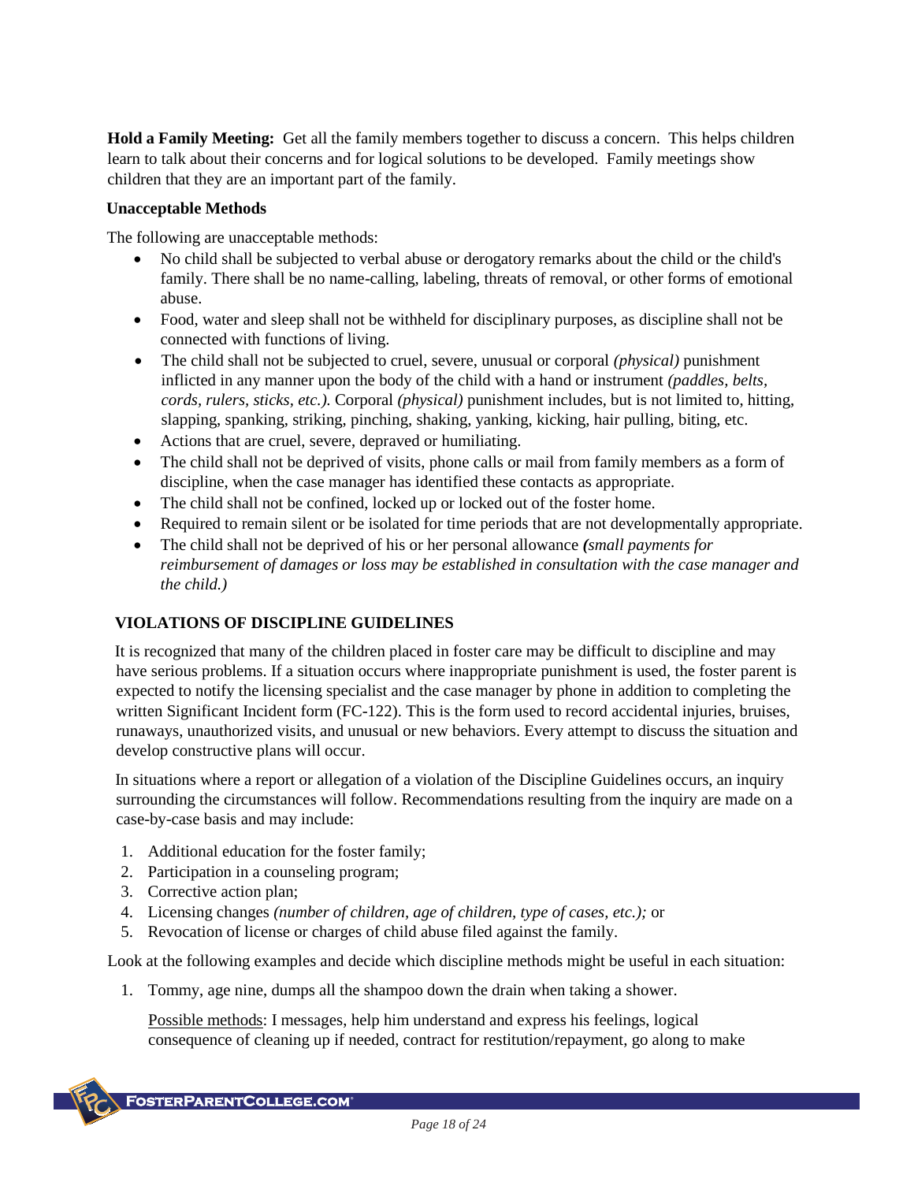**Hold a Family Meeting:** Get all the family members together to discuss a concern. This helps children learn to talk about their concerns and for logical solutions to be developed. Family meetings show children that they are an important part of the family.

#### **Unacceptable Methods**

The following are unacceptable methods:

- No child shall be subjected to verbal abuse or derogatory remarks about the child or the child's family. There shall be no name-calling, labeling, threats of removal, or other forms of emotional abuse.
- Food, water and sleep shall not be withheld for disciplinary purposes, as discipline shall not be connected with functions of living.
- The child shall not be subjected to cruel, severe, unusual or corporal *(physical)* punishment inflicted in any manner upon the body of the child with a hand or instrument *(paddles, belts, cords, rulers, sticks, etc.).* Corporal *(physical)* punishment includes, but is not limited to, hitting, slapping, spanking, striking, pinching, shaking, yanking, kicking, hair pulling, biting, etc.
- Actions that are cruel, severe, depraved or humiliating.
- The child shall not be deprived of visits, phone calls or mail from family members as a form of discipline, when the case manager has identified these contacts as appropriate.
- The child shall not be confined, locked up or locked out of the foster home.
- Required to remain silent or be isolated for time periods that are not developmentally appropriate.
- The child shall not be deprived of his or her personal allowance *(small payments for reimbursement of damages or loss may be established in consultation with the case manager and the child.)*

#### **VIOLATIONS OF DISCIPLINE GUIDELINES**

It is recognized that many of the children placed in foster care may be difficult to discipline and may have serious problems. If a situation occurs where inappropriate punishment is used, the foster parent is expected to notify the licensing specialist and the case manager by phone in addition to completing the written Significant Incident form (FC-122). This is the form used to record accidental injuries, bruises, runaways, unauthorized visits, and unusual or new behaviors. Every attempt to discuss the situation and develop constructive plans will occur.

In situations where a report or allegation of a violation of the Discipline Guidelines occurs, an inquiry surrounding the circumstances will follow. Recommendations resulting from the inquiry are made on a case-by-case basis and may include:

- 1. Additional education for the foster family;
- 2. Participation in a counseling program;
- 3. Corrective action plan;
- 4. Licensing changes *(number of children, age of children, type of cases, etc.);* or
- 5. Revocation of license or charges of child abuse filed against the family.

Look at the following examples and decide which discipline methods might be useful in each situation:

1. Tommy, age nine, dumps all the shampoo down the drain when taking a shower.

Possible methods: I messages, help him understand and express his feelings, logical consequence of cleaning up if needed, contract for restitution/repayment, go along to make

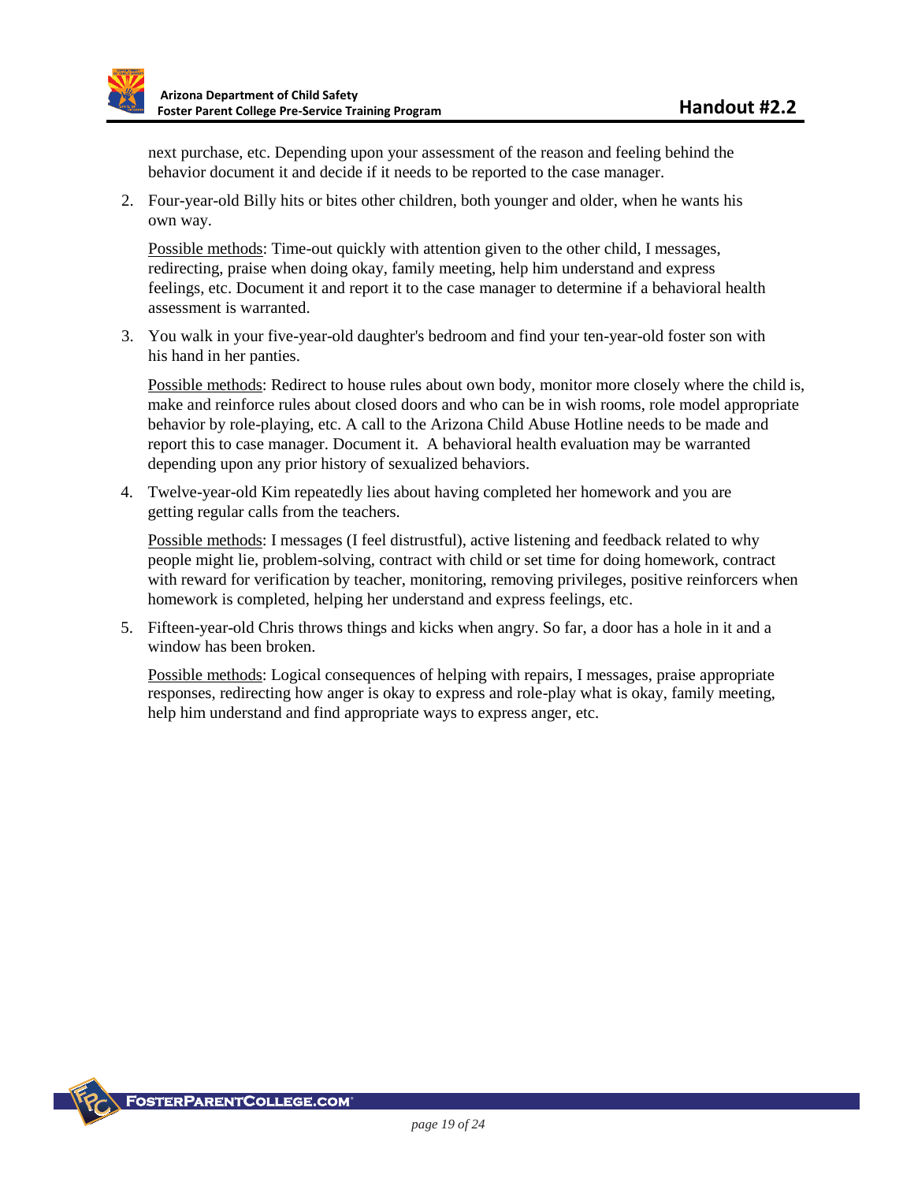next purchase, etc. Depending upon your assessment of the reason and feeling behind the behavior document it and decide if it needs to be reported to the case manager.

2. Four-year-old Billy hits or bites other children, both younger and older, when he wants his own way.

Possible methods: Time-out quickly with attention given to the other child, I messages, redirecting, praise when doing okay, family meeting, help him understand and express feelings, etc. Document it and report it to the case manager to determine if a behavioral health assessment is warranted.

3. You walk in your five-year-old daughter's bedroom and find your ten-year-old foster son with his hand in her panties.

Possible methods: Redirect to house rules about own body, monitor more closely where the child is, make and reinforce rules about closed doors and who can be in wish rooms, role model appropriate behavior by role-playing, etc. A call to the Arizona Child Abuse Hotline needs to be made and report this to case manager. Document it. A behavioral health evaluation may be warranted depending upon any prior history of sexualized behaviors.

4. Twelve-year-old Kim repeatedly lies about having completed her homework and you are getting regular calls from the teachers.

Possible methods: I messages (I feel distrustful), active listening and feedback related to why people might lie, problem-solving, contract with child or set time for doing homework, contract with reward for verification by teacher, monitoring, removing privileges, positive reinforcers when homework is completed, helping her understand and express feelings, etc.

5. Fifteen-year-old Chris throws things and kicks when angry. So far, a door has a hole in it and a window has been broken.

Possible methods: Logical consequences of helping with repairs, I messages, praise appropriate responses, redirecting how anger is okay to express and role-play what is okay, family meeting, help him understand and find appropriate ways to express anger, etc.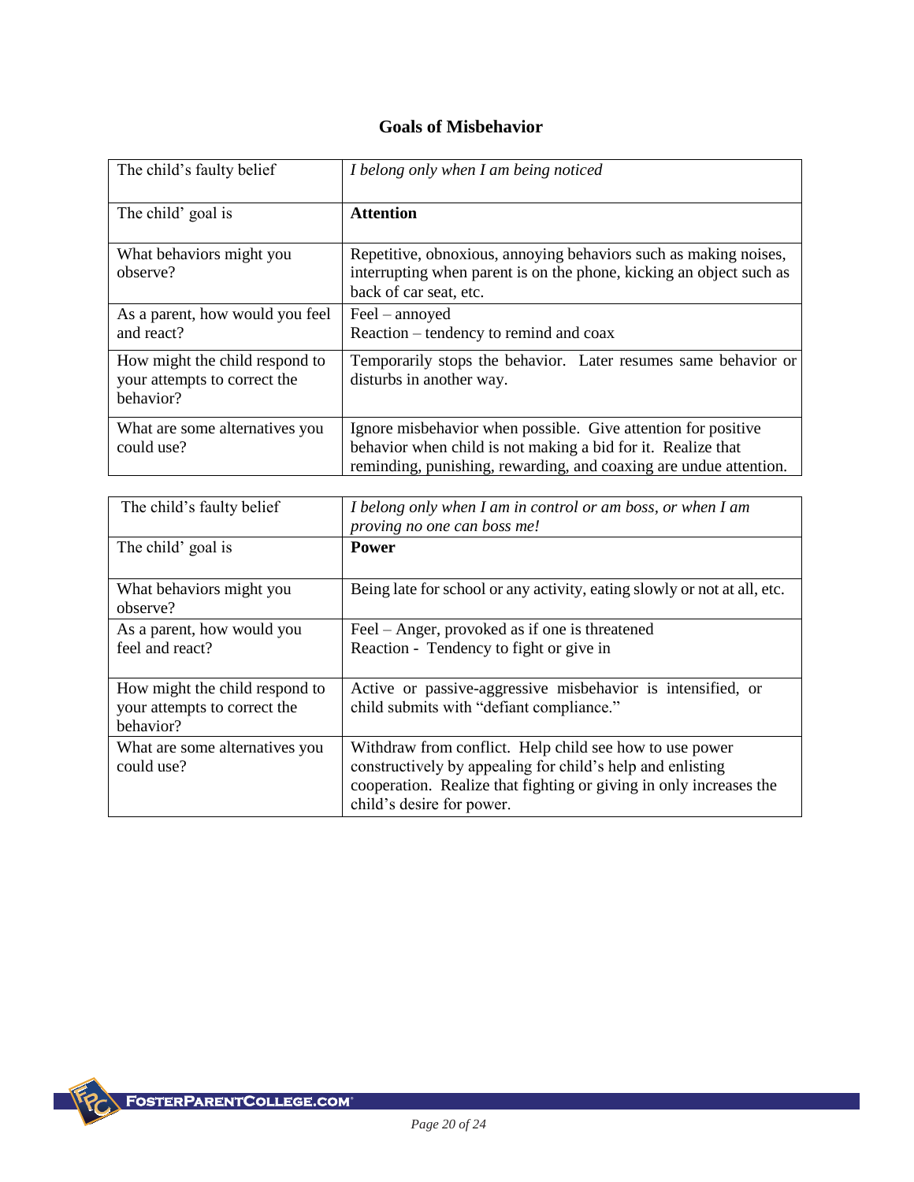# **Goals of Misbehavior**

| The child's faulty belief                                                   | I belong only when I am being noticed                                                                                                                                                              |
|-----------------------------------------------------------------------------|----------------------------------------------------------------------------------------------------------------------------------------------------------------------------------------------------|
| The child' goal is                                                          | <b>Attention</b>                                                                                                                                                                                   |
| What behaviors might you<br>observe?                                        | Repetitive, obnoxious, annoying behaviors such as making noises,<br>interrupting when parent is on the phone, kicking an object such as<br>back of car seat, etc.                                  |
| As a parent, how would you feel<br>and react?                               | $Feel - annoyed$<br>Reaction – tendency to remind and coax                                                                                                                                         |
| How might the child respond to<br>your attempts to correct the<br>behavior? | Temporarily stops the behavior. Later resumes same behavior or<br>disturbs in another way.                                                                                                         |
| What are some alternatives you<br>could use?                                | Ignore misbehavior when possible. Give attention for positive<br>behavior when child is not making a bid for it. Realize that<br>reminding, punishing, rewarding, and coaxing are undue attention. |

| The child's faulty belief                                                   | I belong only when I am in control or am boss, or when I am<br>proving no one can boss me!                                                                                                                               |
|-----------------------------------------------------------------------------|--------------------------------------------------------------------------------------------------------------------------------------------------------------------------------------------------------------------------|
| The child' goal is                                                          | <b>Power</b>                                                                                                                                                                                                             |
| What behaviors might you<br>observe?                                        | Being late for school or any activity, eating slowly or not at all, etc.                                                                                                                                                 |
| As a parent, how would you<br>feel and react?                               | Feel – Anger, provoked as if one is threatened<br>Reaction - Tendency to fight or give in                                                                                                                                |
| How might the child respond to<br>your attempts to correct the<br>behavior? | Active or passive-aggressive misbehavior is intensified, or<br>child submits with "defiant compliance."                                                                                                                  |
| What are some alternatives you<br>could use?                                | Withdraw from conflict. Help child see how to use power<br>constructively by appealing for child's help and enlisting<br>cooperation. Realize that fighting or giving in only increases the<br>child's desire for power. |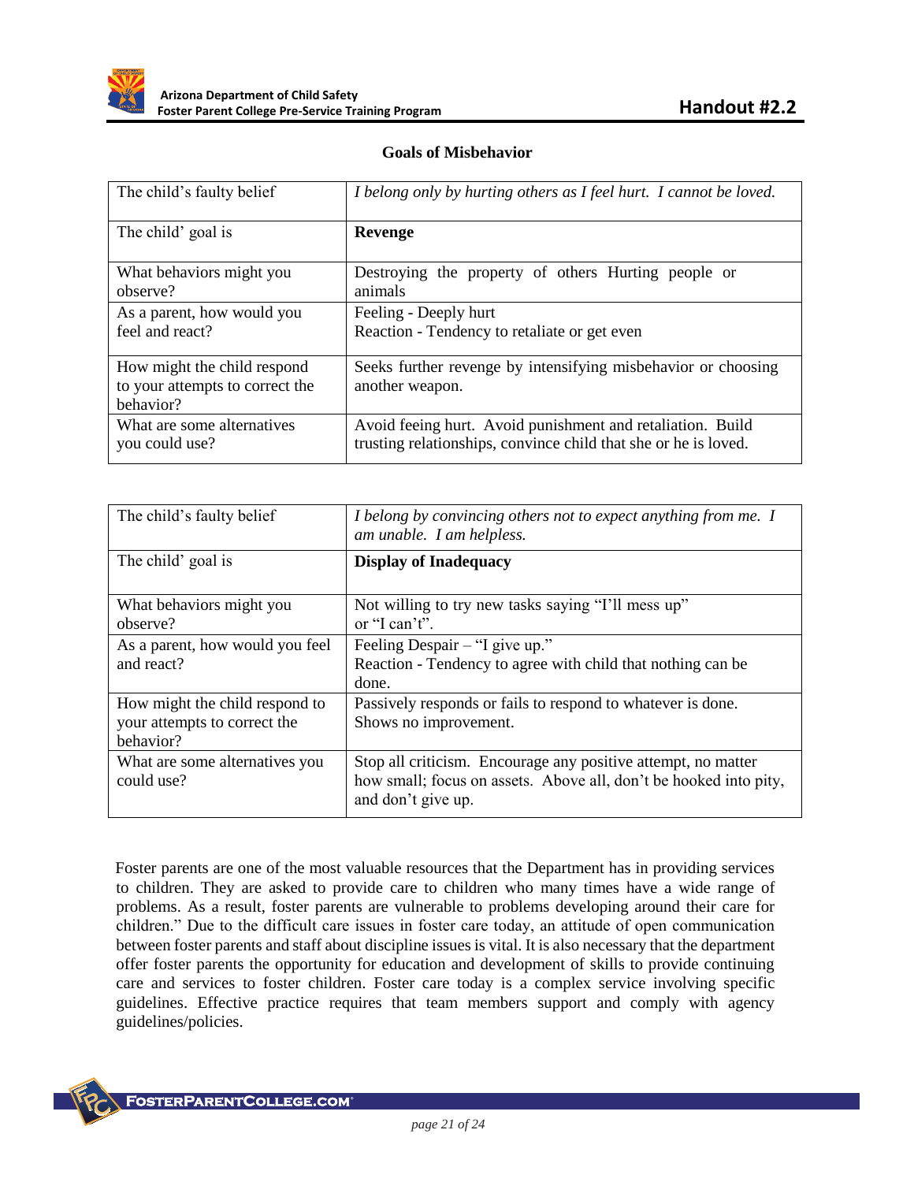

#### **Goals of Misbehavior**

| The child's faulty belief                                                   | I belong only by hurting others as I feel hurt. I cannot be loved.               |
|-----------------------------------------------------------------------------|----------------------------------------------------------------------------------|
| The child' goal is                                                          | Revenge                                                                          |
| What behaviors might you                                                    | Destroying the property of others Hurting people or                              |
| observe?                                                                    | animals                                                                          |
| As a parent, how would you                                                  | Feeling - Deeply hurt                                                            |
| feel and react?                                                             | Reaction - Tendency to retaliate or get even                                     |
| How might the child respond<br>to your attempts to correct the<br>behavior? | Seeks further revenge by intensifying misbehavior or choosing<br>another weapon. |
| What are some alternatives                                                  | Avoid feeing hurt. Avoid punishment and retaliation. Build                       |
| you could use?                                                              | trusting relationships, convince child that she or he is loved.                  |

| The child's faulty belief                                                   | I belong by convincing others not to expect anything from me. I<br>am unable. I am helpless.                                                             |
|-----------------------------------------------------------------------------|----------------------------------------------------------------------------------------------------------------------------------------------------------|
| The child' goal is                                                          | <b>Display of Inadequacy</b>                                                                                                                             |
| What behaviors might you<br>observe?                                        | Not willing to try new tasks saying "I'll mess up"<br>or "I can't".                                                                                      |
| As a parent, how would you feel<br>and react?                               | Feeling Despair – "I give up."<br>Reaction - Tendency to agree with child that nothing can be<br>done.                                                   |
| How might the child respond to<br>your attempts to correct the<br>behavior? | Passively responds or fails to respond to whatever is done.<br>Shows no improvement.                                                                     |
| What are some alternatives you<br>could use?                                | Stop all criticism. Encourage any positive attempt, no matter<br>how small; focus on assets. Above all, don't be hooked into pity,<br>and don't give up. |

Foster parents are one of the most valuable resources that the Department has in providing services to children. They are asked to provide care to children who many times have a wide range of problems. As a result, foster parents are vulnerable to problems developing around their care for children." Due to the difficult care issues in foster care today, an attitude of open communication between foster parents and staff about discipline issues is vital. It is also necessary that the department offer foster parents the opportunity for education and development of skills to provide continuing care and services to foster children. Foster care today is a complex service involving specific guidelines. Effective practice requires that team members support and comply with agency guidelines/policies.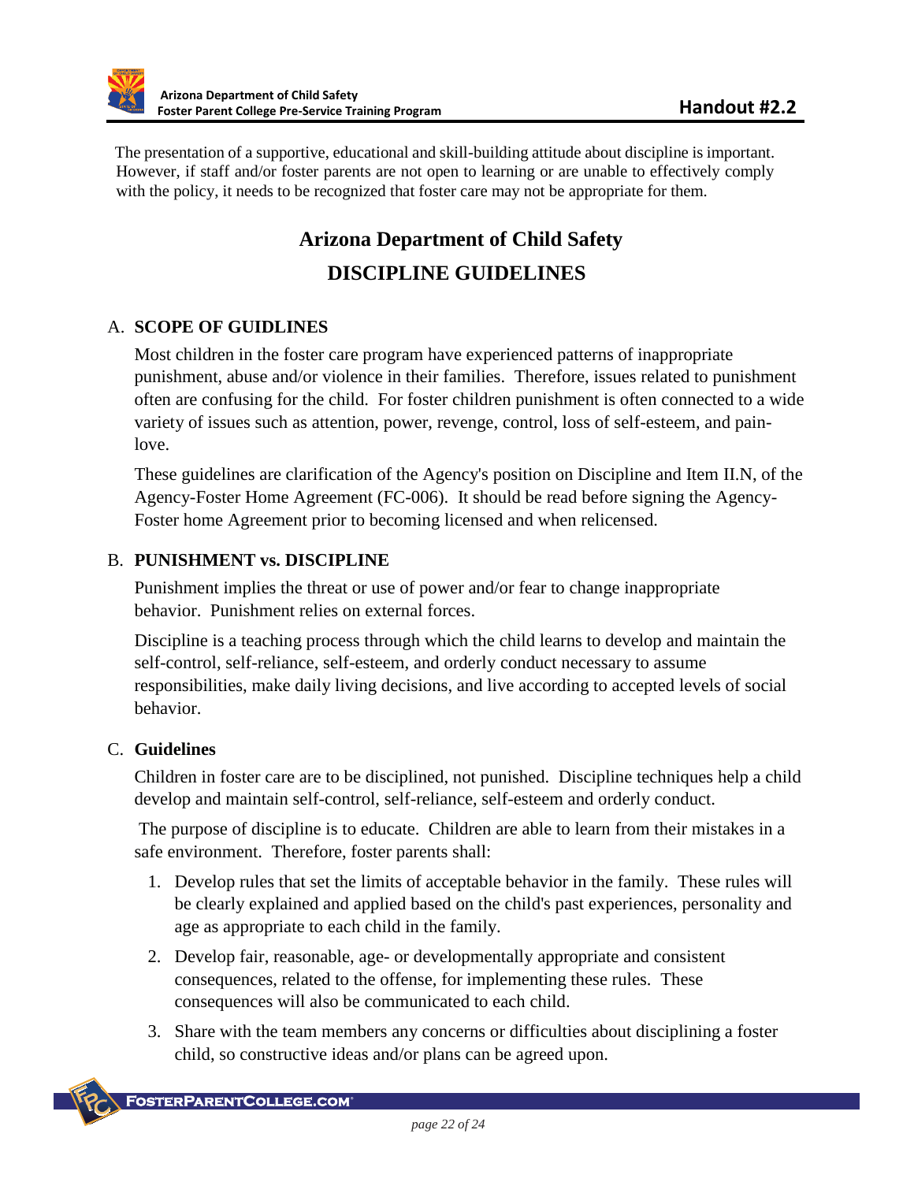The presentation of a supportive, educational and skill-building attitude about discipline is important. However, if staff and/or foster parents are not open to learning or are unable to effectively comply with the policy, it needs to be recognized that foster care may not be appropriate for them.

# **Arizona Department of Child Safety DISCIPLINE GUIDELINES**

# A. **SCOPE OF GUIDLINES**

Most children in the foster care program have experienced patterns of inappropriate punishment, abuse and/or violence in their families. Therefore, issues related to punishment often are confusing for the child. For foster children punishment is often connected to a wide variety of issues such as attention, power, revenge, control, loss of self-esteem, and painlove.

These guidelines are clarification of the Agency's position on Discipline and Item II.N, of the Agency-Foster Home Agreement (FC-006). It should be read before signing the Agency-Foster home Agreement prior to becoming licensed and when relicensed.

#### B. **PUNISHMENT vs. DISCIPLINE**

Punishment implies the threat or use of power and/or fear to change inappropriate behavior. Punishment relies on external forces.

Discipline is a teaching process through which the child learns to develop and maintain the self-control, self-reliance, self-esteem, and orderly conduct necessary to assume responsibilities, make daily living decisions, and live according to accepted levels of social behavior.

# C. **Guidelines**

Children in foster care are to be disciplined, not punished. Discipline techniques help a child develop and maintain self-control, self-reliance, self-esteem and orderly conduct.

The purpose of discipline is to educate. Children are able to learn from their mistakes in a safe environment. Therefore, foster parents shall:

- 1. Develop rules that set the limits of acceptable behavior in the family. These rules will be clearly explained and applied based on the child's past experiences, personality and age as appropriate to each child in the family.
- 2. Develop fair, reasonable, age- or developmentally appropriate and consistent consequences, related to the offense, for implementing these rules. These consequences will also be communicated to each child.
- 3. Share with the team members any concerns or difficulties about disciplining a foster child, so constructive ideas and/or plans can be agreed upon.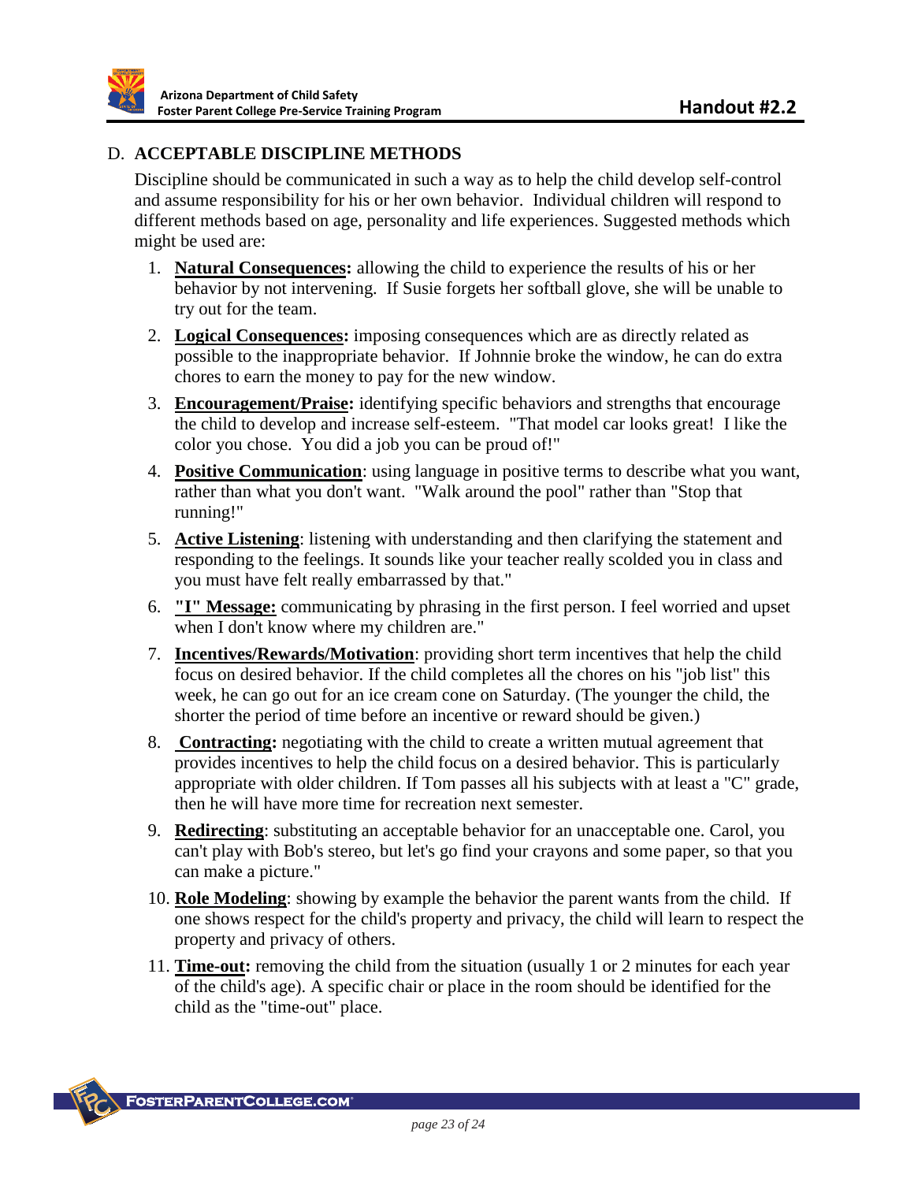# D. **ACCEPTABLE DISCIPLINE METHODS**

Discipline should be communicated in such a way as to help the child develop self-control and assume responsibility for his or her own behavior. Individual children will respond to different methods based on age, personality and life experiences. Suggested methods which might be used are:

- 1. **Natural Consequences:** allowing the child to experience the results of his or her behavior by not intervening. If Susie forgets her softball glove, she will be unable to try out for the team.
- 2. **Logical Consequences:** imposing consequences which are as directly related as possible to the inappropriate behavior. If Johnnie broke the window, he can do extra chores to earn the money to pay for the new window.
- 3. **Encouragement/Praise:** identifying specific behaviors and strengths that encourage the child to develop and increase self-esteem. "That model car looks great! I like the color you chose. You did a job you can be proud of!"
- 4. **Positive Communication**: using language in positive terms to describe what you want, rather than what you don't want. "Walk around the pool" rather than "Stop that running!"
- 5. **Active Listening**: listening with understanding and then clarifying the statement and responding to the feelings. It sounds like your teacher really scolded you in class and you must have felt really embarrassed by that."
- 6. **"I" Message:** communicating by phrasing in the first person. I feel worried and upset when I don't know where my children are."
- 7. **Incentives/Rewards/Motivation**: providing short term incentives that help the child focus on desired behavior. If the child completes all the chores on his "job list" this week, he can go out for an ice cream cone on Saturday. (The younger the child, the shorter the period of time before an incentive or reward should be given.)
- 8. **Contracting:** negotiating with the child to create a written mutual agreement that provides incentives to help the child focus on a desired behavior. This is particularly appropriate with older children. If Tom passes all his subjects with at least a "C" grade, then he will have more time for recreation next semester.
- 9. **Redirecting**: substituting an acceptable behavior for an unacceptable one. Carol, you can't play with Bob's stereo, but let's go find your crayons and some paper, so that you can make a picture."
- 10. **Role Modeling**: showing by example the behavior the parent wants from the child. If one shows respect for the child's property and privacy, the child will learn to respect the property and privacy of others.
- 11. **Time-out:** removing the child from the situation (usually 1 or 2 minutes for each year of the child's age). A specific chair or place in the room should be identified for the child as the "time-out" place.